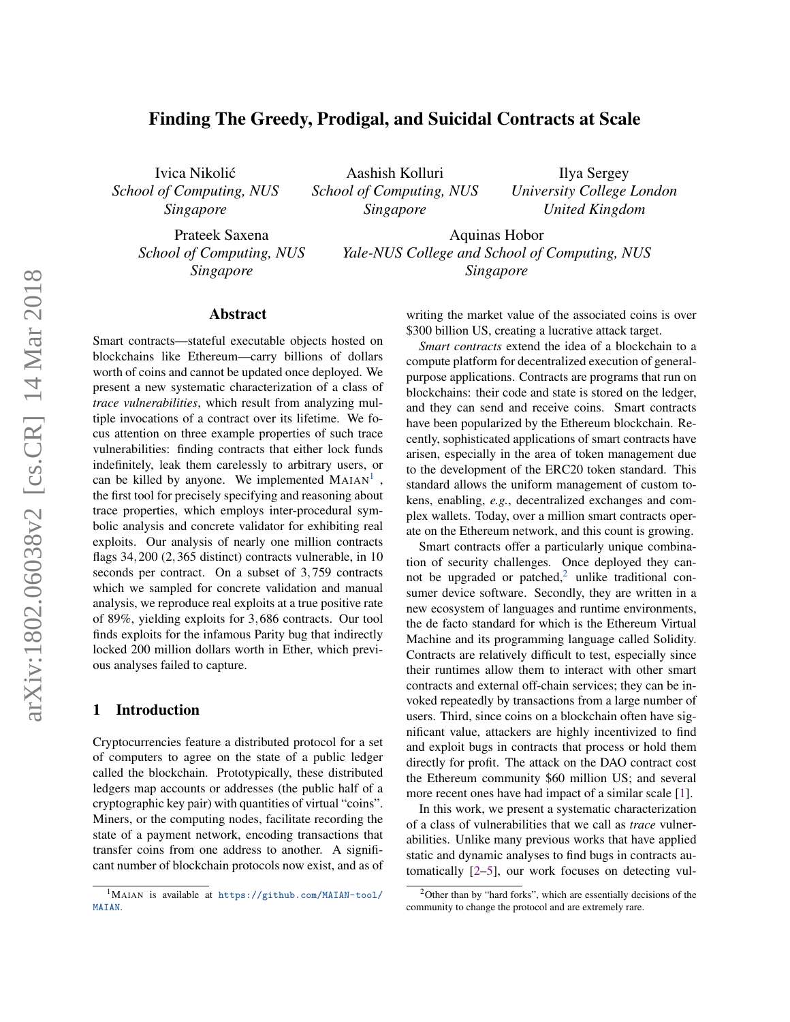# Finding The Greedy, Prodigal, and Suicidal Contracts at Scale

Ivica Nikolic´ *School of Computing, NUS Singapore*

Aashish Kolluri *School of Computing, NUS Singapore*

Ilya Sergey *University College London United Kingdom*

Prateek Saxena *School of Computing, NUS Singapore*

Aquinas Hobor *Yale-NUS College and School of Computing, NUS Singapore*

#### Abstract

Smart contracts—stateful executable objects hosted on blockchains like Ethereum—carry billions of dollars worth of coins and cannot be updated once deployed. We present a new systematic characterization of a class of *trace vulnerabilities*, which result from analyzing multiple invocations of a contract over its lifetime. We focus attention on three example properties of such trace vulnerabilities: finding contracts that either lock funds indefinitely, leak them carelessly to arbitrary users, or can be killed by anyone. We implemented  $MAIAN<sup>1</sup>$  $MAIAN<sup>1</sup>$  $MAIAN<sup>1</sup>$ , the first tool for precisely specifying and reasoning about trace properties, which employs inter-procedural symbolic analysis and concrete validator for exhibiting real exploits. Our analysis of nearly one million contracts flags 34,200 (2,365 distinct) contracts vulnerable, in 10 seconds per contract. On a subset of 3,759 contracts which we sampled for concrete validation and manual analysis, we reproduce real exploits at a true positive rate of 89%, yielding exploits for 3,686 contracts. Our tool finds exploits for the infamous Parity bug that indirectly locked 200 million dollars worth in Ether, which previous analyses failed to capture.

# 1 Introduction

Cryptocurrencies feature a distributed protocol for a set of computers to agree on the state of a public ledger called the blockchain. Prototypically, these distributed ledgers map accounts or addresses (the public half of a cryptographic key pair) with quantities of virtual "coins". Miners, or the computing nodes, facilitate recording the state of a payment network, encoding transactions that transfer coins from one address to another. A significant number of blockchain protocols now exist, and as of writing the market value of the associated coins is over \$300 billion US, creating a lucrative attack target.

*Smart contracts* extend the idea of a blockchain to a compute platform for decentralized execution of generalpurpose applications. Contracts are programs that run on blockchains: their code and state is stored on the ledger, and they can send and receive coins. Smart contracts have been popularized by the Ethereum blockchain. Recently, sophisticated applications of smart contracts have arisen, especially in the area of token management due to the development of the ERC20 token standard. This standard allows the uniform management of custom tokens, enabling, *e.g.*, decentralized exchanges and complex wallets. Today, over a million smart contracts operate on the Ethereum network, and this count is growing.

Smart contracts offer a particularly unique combination of security challenges. Once deployed they can-not be upgraded or patched,<sup>[2](#page-0-1)</sup> unlike traditional consumer device software. Secondly, they are written in a new ecosystem of languages and runtime environments, the de facto standard for which is the Ethereum Virtual Machine and its programming language called Solidity. Contracts are relatively difficult to test, especially since their runtimes allow them to interact with other smart contracts and external off-chain services; they can be invoked repeatedly by transactions from a large number of users. Third, since coins on a blockchain often have significant value, attackers are highly incentivized to find and exploit bugs in contracts that process or hold them directly for profit. The attack on the DAO contract cost the Ethereum community \$60 million US; and several more recent ones have had impact of a similar scale [\[1\]](#page-13-0).

In this work, we present a systematic characterization of a class of vulnerabilities that we call as *trace* vulnerabilities. Unlike many previous works that have applied static and dynamic analyses to find bugs in contracts automatically [\[2](#page-13-1)[–5\]](#page-13-2), our work focuses on detecting vul-

<span id="page-0-0"></span><sup>1</sup>MAIAN is available at [https://github.com/MAIAN-tool/](https://github.com/MAIAN-tool/MAIAN) [MAIAN](https://github.com/MAIAN-tool/MAIAN).

<span id="page-0-1"></span><sup>2</sup>Other than by "hard forks", which are essentially decisions of the community to change the protocol and are extremely rare.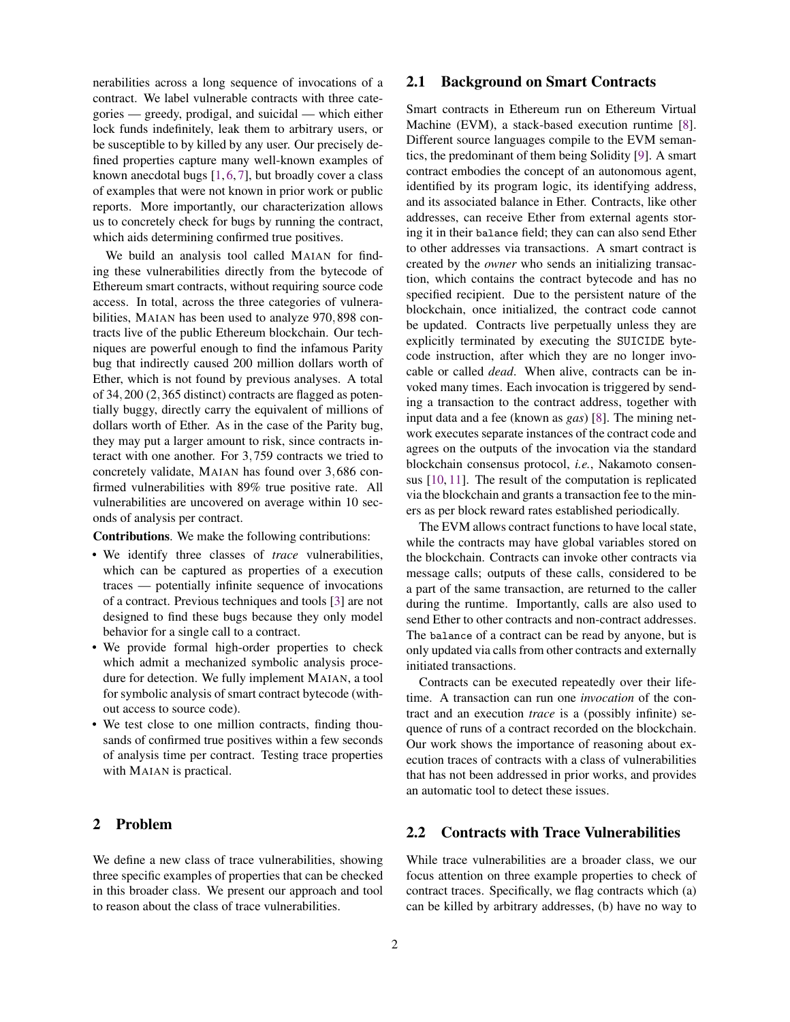nerabilities across a long sequence of invocations of a contract. We label vulnerable contracts with three categories — greedy, prodigal, and suicidal — which either lock funds indefinitely, leak them to arbitrary users, or be susceptible to by killed by any user. Our precisely defined properties capture many well-known examples of known anecdotal bugs  $[1, 6, 7]$  $[1, 6, 7]$  $[1, 6, 7]$  $[1, 6, 7]$  $[1, 6, 7]$ , but broadly cover a class of examples that were not known in prior work or public reports. More importantly, our characterization allows us to concretely check for bugs by running the contract, which aids determining confirmed true positives.

We build an analysis tool called MAIAN for finding these vulnerabilities directly from the bytecode of Ethereum smart contracts, without requiring source code access. In total, across the three categories of vulnerabilities, MAIAN has been used to analyze 970,898 contracts live of the public Ethereum blockchain. Our techniques are powerful enough to find the infamous Parity bug that indirectly caused 200 million dollars worth of Ether, which is not found by previous analyses. A total of 34,200 (2,365 distinct) contracts are flagged as potentially buggy, directly carry the equivalent of millions of dollars worth of Ether. As in the case of the Parity bug, they may put a larger amount to risk, since contracts interact with one another. For 3,759 contracts we tried to concretely validate, MAIAN has found over 3,686 confirmed vulnerabilities with 89% true positive rate. All vulnerabilities are uncovered on average within 10 seconds of analysis per contract.

Contributions. We make the following contributions:

- We identify three classes of *trace* vulnerabilities, which can be captured as properties of a execution traces — potentially infinite sequence of invocations of a contract. Previous techniques and tools [\[3\]](#page-13-5) are not designed to find these bugs because they only model behavior for a single call to a contract.
- We provide formal high-order properties to check which admit a mechanized symbolic analysis procedure for detection. We fully implement MAIAN, a tool for symbolic analysis of smart contract bytecode (without access to source code).
- We test close to one million contracts, finding thousands of confirmed true positives within a few seconds of analysis time per contract. Testing trace properties with MAIAN is practical.

# 2 Problem

We define a new class of trace vulnerabilities, showing three specific examples of properties that can be checked in this broader class. We present our approach and tool to reason about the class of trace vulnerabilities.

### 2.1 Background on Smart Contracts

Smart contracts in Ethereum run on Ethereum Virtual Machine (EVM), a stack-based execution runtime [\[8\]](#page-13-6). Different source languages compile to the EVM semantics, the predominant of them being Solidity [\[9\]](#page-13-7). A smart contract embodies the concept of an autonomous agent, identified by its program logic, its identifying address, and its associated balance in Ether. Contracts, like other addresses, can receive Ether from external agents storing it in their balance field; they can can also send Ether to other addresses via transactions. A smart contract is created by the *owner* who sends an initializing transaction, which contains the contract bytecode and has no specified recipient. Due to the persistent nature of the blockchain, once initialized, the contract code cannot be updated. Contracts live perpetually unless they are explicitly terminated by executing the SUICIDE bytecode instruction, after which they are no longer invocable or called *dead*. When alive, contracts can be invoked many times. Each invocation is triggered by sending a transaction to the contract address, together with input data and a fee (known as *gas*) [\[8\]](#page-13-6). The mining network executes separate instances of the contract code and agrees on the outputs of the invocation via the standard blockchain consensus protocol, *i.e.*, Nakamoto consensus [\[10,](#page-13-8) [11\]](#page-13-9). The result of the computation is replicated via the blockchain and grants a transaction fee to the miners as per block reward rates established periodically.

The EVM allows contract functions to have local state, while the contracts may have global variables stored on the blockchain. Contracts can invoke other contracts via message calls; outputs of these calls, considered to be a part of the same transaction, are returned to the caller during the runtime. Importantly, calls are also used to send Ether to other contracts and non-contract addresses. The balance of a contract can be read by anyone, but is only updated via calls from other contracts and externally initiated transactions.

Contracts can be executed repeatedly over their lifetime. A transaction can run one *invocation* of the contract and an execution *trace* is a (possibly infinite) sequence of runs of a contract recorded on the blockchain. Our work shows the importance of reasoning about execution traces of contracts with a class of vulnerabilities that has not been addressed in prior works, and provides an automatic tool to detect these issues.

# <span id="page-1-0"></span>2.2 Contracts with Trace Vulnerabilities

While trace vulnerabilities are a broader class, we our focus attention on three example properties to check of contract traces. Specifically, we flag contracts which (a) can be killed by arbitrary addresses, (b) have no way to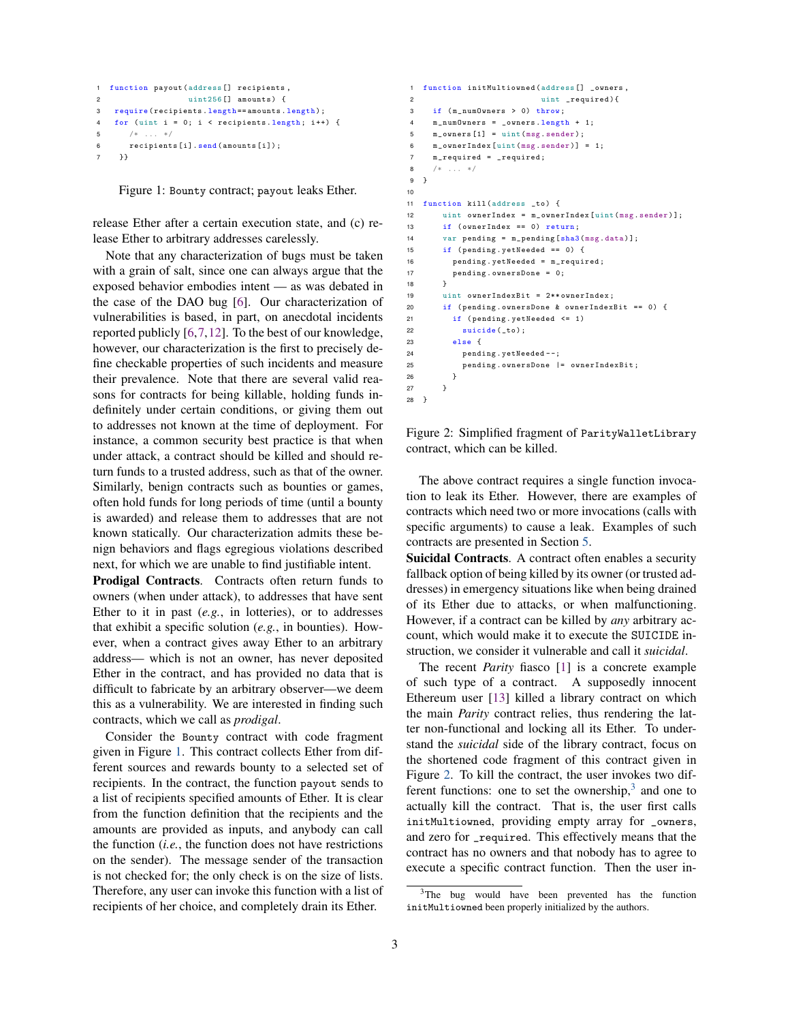```
1 function payout ( address [] recipients ,
2 uint256 [] amounts ) {
3 require ( recipients . length == amounts . length );
   for (uint i = 0; i < recipients length; i++) {
5 /* ... */6 recipients [i]. send ( amounts [i]) ;
7 }}
```
Figure 1: Bounty contract; payout leaks Ether.

release Ether after a certain execution state, and (c) release Ether to arbitrary addresses carelessly.

Note that any characterization of bugs must be taken with a grain of salt, since one can always argue that the exposed behavior embodies intent — as was debated in the case of the DAO bug [\[6\]](#page-13-3). Our characterization of vulnerabilities is based, in part, on anecdotal incidents reported publicly [\[6,](#page-13-3)[7,](#page-13-4)[12\]](#page-13-10). To the best of our knowledge, however, our characterization is the first to precisely define checkable properties of such incidents and measure their prevalence. Note that there are several valid reasons for contracts for being killable, holding funds indefinitely under certain conditions, or giving them out to addresses not known at the time of deployment. For instance, a common security best practice is that when under attack, a contract should be killed and should return funds to a trusted address, such as that of the owner. Similarly, benign contracts such as bounties or games, often hold funds for long periods of time (until a bounty is awarded) and release them to addresses that are not known statically. Our characterization admits these benign behaviors and flags egregious violations described next, for which we are unable to find justifiable intent.

Prodigal Contracts. Contracts often return funds to owners (when under attack), to addresses that have sent Ether to it in past (*e.g.*, in lotteries), or to addresses that exhibit a specific solution (*e.g.*, in bounties). However, when a contract gives away Ether to an arbitrary address— which is not an owner, has never deposited Ether in the contract, and has provided no data that is difficult to fabricate by an arbitrary observer—we deem this as a vulnerability. We are interested in finding such contracts, which we call as *prodigal*.

Consider the Bounty contract with code fragment given in Figure [1.](#page-2-0) This contract collects Ether from different sources and rewards bounty to a selected set of recipients. In the contract, the function payout sends to a list of recipients specified amounts of Ether. It is clear from the function definition that the recipients and the amounts are provided as inputs, and anybody can call the function (*i.e.*, the function does not have restrictions on the sender). The message sender of the transaction is not checked for; the only check is on the size of lists. Therefore, any user can invoke this function with a list of recipients of her choice, and completely drain its Ether.

```
1 function initMultiowned ( address [] _owners ,
2 uint _required ) {
3 if (m_numOwners > 0) throw:
4 m_numOwners = _owners . length + 1;
5 \qquad m\_owners [1] = \text{uint (msg.sender)};
6 m_ownerIndex [ uint ( msg . sender )] = 1;
7 m_required = _required ;
8 /* ... */9 }
10
11 function kill ( address _to ) {
12 uint ownerIndex = m_ownerIndex [uint (msg. sender)];
13 if ( ownerIndex == 0) return ;
14 var pending = m_pending [sha3(msg.data)];
15 if ( pending . yetNeeded == 0) {
16 pending . yetNeeded = m_required ;
17 pending . ownersDone = 0;
18 }
19 uint ownerIndexBit = 2** ownerIndex ;
20 if ( pending . ownersDone & ownerIndexBit == 0) {
21 if ( pending . yetNeeded <= 1)
22 suicide (to) ;
23 else {
24 pending . yetNeeded - -;
25 pending . ownersDone |= ownerIndexBit ;
26 }
27 }
28 }
```
Figure 2: Simplified fragment of ParityWalletLibrary contract, which can be killed.

The above contract requires a single function invocation to leak its Ether. However, there are examples of contracts which need two or more invocations (calls with specific arguments) to cause a leak. Examples of such contracts are presented in Section [5.](#page-8-0)

Suicidal Contracts. A contract often enables a security fallback option of being killed by its owner (or trusted addresses) in emergency situations like when being drained of its Ether due to attacks, or when malfunctioning. However, if a contract can be killed by *any* arbitrary account, which would make it to execute the SUICIDE instruction, we consider it vulnerable and call it *suicidal*.

The recent *Parity* fiasco [\[1\]](#page-13-0) is a concrete example of such type of a contract. A supposedly innocent Ethereum user [\[13\]](#page-13-11) killed a library contract on which the main *Parity* contract relies, thus rendering the latter non-functional and locking all its Ether. To understand the *suicidal* side of the library contract, focus on the shortened code fragment of this contract given in Figure [2.](#page-2-1) To kill the contract, the user invokes two different functions: one to set the ownership, $3$  and one to actually kill the contract. That is, the user first calls initMultiowned, providing empty array for \_owners, and zero for \_required. This effectively means that the contract has no owners and that nobody has to agree to execute a specific contract function. Then the user in-

<span id="page-2-2"></span><sup>&</sup>lt;sup>3</sup>The bug would have been prevented has the function initMultiowned been properly initialized by the authors.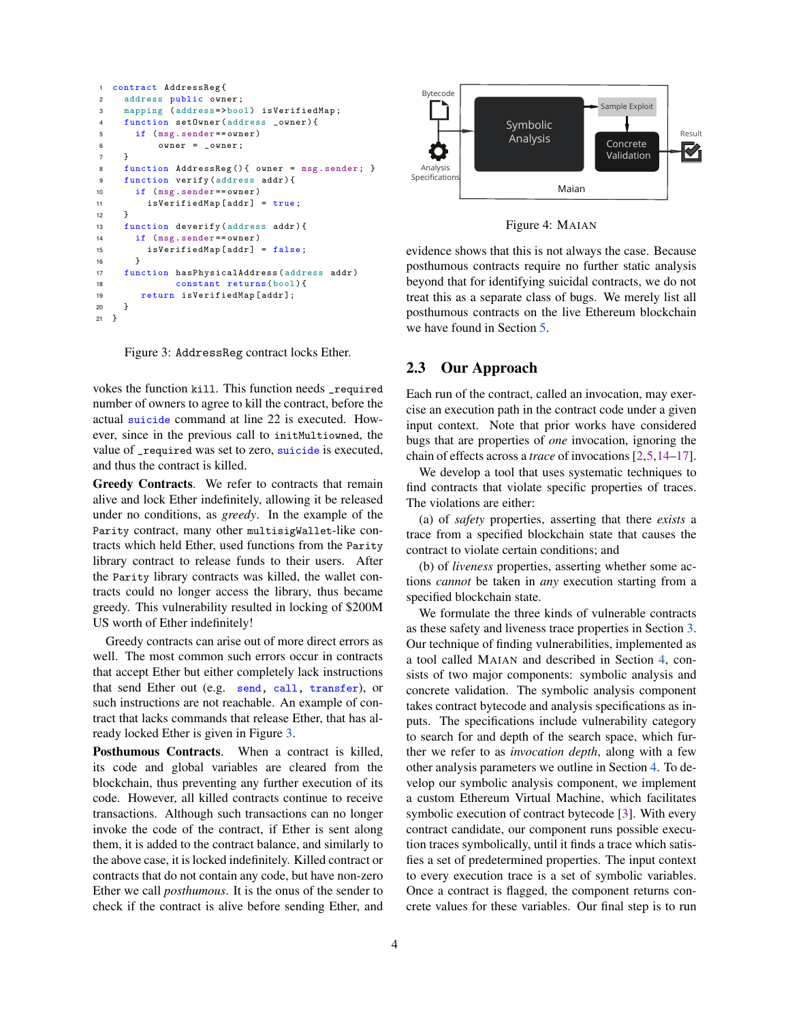```
1 contract AddressReg {
2 address public owner ;
3 mapping (address=>bool) isVerifiedMap;
    function setOwner (address _owner) {
5 if ( msg . sender == owner )
6 owner = _owner ;
7 }
8 function AddressReg () { owner = msg. sender; }
9 function verify (address addr) {
10 if ( msg . sender == owner )
11 isVerifiedMap [addr] = true;
12 }
13 function deverify ( address addr ){
14 if ( msg . sender == owner )
15 isVerifiedMap [ addr ] = false ;
16 }
17 function hasPhysicalAddress ( address addr )
18 constant returns ( bool ){
19 return isVerifiedMap [ addr ];
20 }
21 }
```
Figure 3: AddressReg contract locks Ether.

vokes the function kill. This function needs \_required number of owners to agree to kill the contract, before the actual suicide command at line 22 is executed. However, since in the previous call to initMultiowned, the value of \_required was set to zero, suicide is executed, and thus the contract is killed.

Greedy Contracts. We refer to contracts that remain alive and lock Ether indefinitely, allowing it be released under no conditions, as *greedy*. In the example of the Parity contract, many other multisigWallet-like contracts which held Ether, used functions from the Parity library contract to release funds to their users. After the Parity library contracts was killed, the wallet contracts could no longer access the library, thus became greedy. This vulnerability resulted in locking of \$200M US worth of Ether indefinitely!

Greedy contracts can arise out of more direct errors as well. The most common such errors occur in contracts that accept Ether but either completely lack instructions that send Ether out (e.g. send, call, transfer), or such instructions are not reachable. An example of contract that lacks commands that release Ether, that has already locked Ether is given in Figure [3.](#page-3-0)

Posthumous Contracts. When a contract is killed, its code and global variables are cleared from the blockchain, thus preventing any further execution of its code. However, all killed contracts continue to receive transactions. Although such transactions can no longer invoke the code of the contract, if Ether is sent along them, it is added to the contract balance, and similarly to the above case, it is locked indefinitely. Killed contract or contracts that do not contain any code, but have non-zero Ether we call *posthumous*. It is the onus of the sender to check if the contract is alive before sending Ether, and



Figure 4: MAIAN

evidence shows that this is not always the case. Because posthumous contracts require no further static analysis beyond that for identifying suicidal contracts, we do not treat this as a separate class of bugs. We merely list all posthumous contracts on the live Ethereum blockchain we have found in Section [5.](#page-8-0)

## 2.3 Our Approach

Each run of the contract, called an invocation, may exercise an execution path in the contract code under a given input context. Note that prior works have considered bugs that are properties of *one* invocation, ignoring the chain of effects across a *trace* of invocations [\[2](#page-13-1)[,5](#page-13-2)[,14](#page-13-12)[–17\]](#page-13-13).

The violations are either: We develop a tool that uses systematic techniques to find contracts that violate specific properties of traces.

(a) of *safety* properties, asserting that there *exists* a trace from a specified blockchain state that causes the contract to violate certain conditions; and

(b) of *liveness* properties, asserting whether some actions *cannot* be taken in *any* execution starting from a specified blockchain state.

We formulate the three kinds of vulnerable contracts as these safety and liveness trace properties in Section [3.](#page-4-0) Our technique of finding vulnerabilities, implemented as a tool called MAIAN and described in Section [4,](#page-6-0) consists of two major components: symbolic analysis and concrete validation. The symbolic analysis component takes contract bytecode and analysis specifications as inputs. The specifications include vulnerability category to search for and depth of the search space, which further we refer to as *invocation depth*, along with a few other analysis parameters we outline in Section [4.](#page-6-0) To develop our symbolic analysis component, we implement a custom Ethereum Virtual Machine, which facilitates symbolic execution of contract bytecode [\[3\]](#page-13-5). With every contract candidate, our component runs possible execution traces symbolically, until it finds a trace which satisfies a set of predetermined properties. The input context to every execution trace is a set of symbolic variables. Once a contract is flagged, the component returns concrete values for these variables. Our final step is to run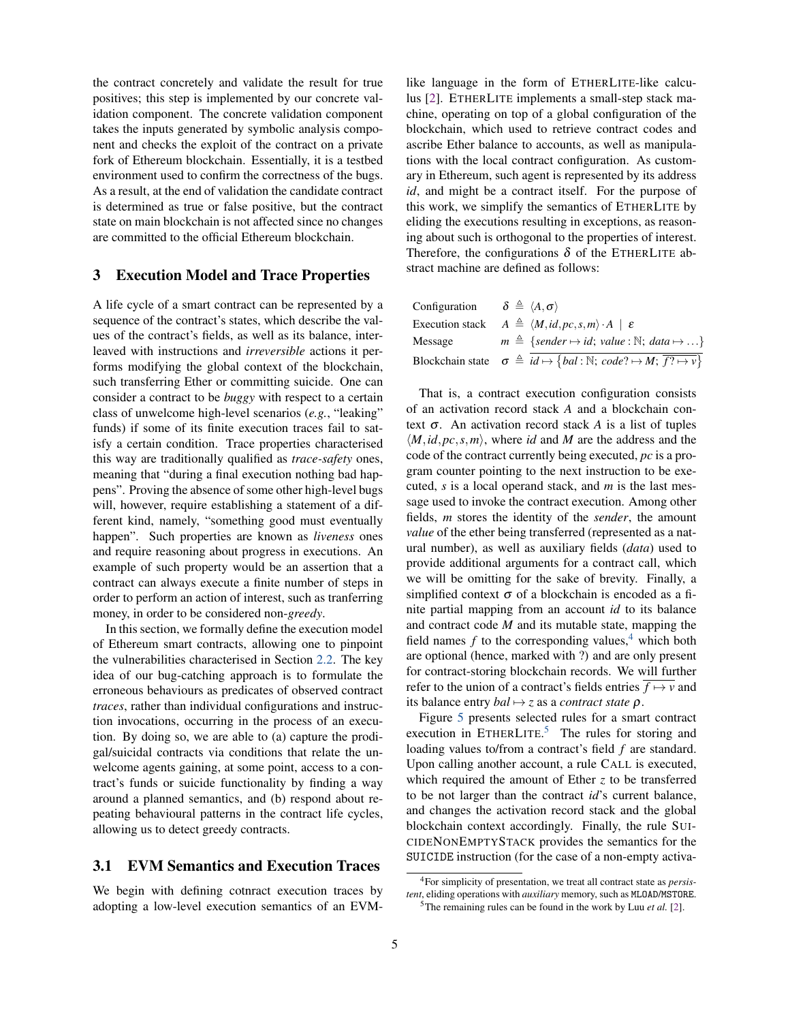the contract concretely and validate the result for true positives; this step is implemented by our concrete validation component. The concrete validation component takes the inputs generated by symbolic analysis component and checks the exploit of the contract on a private fork of Ethereum blockchain. Essentially, it is a testbed environment used to confirm the correctness of the bugs. As a result, at the end of validation the candidate contract is determined as true or false positive, but the contract state on main blockchain is not affected since no changes are committed to the official Ethereum blockchain.

### <span id="page-4-0"></span>3 Execution Model and Trace Properties

A life cycle of a smart contract can be represented by a sequence of the contract's states, which describe the values of the contract's fields, as well as its balance, interleaved with instructions and *irreversible* actions it performs modifying the global context of the blockchain, such transferring Ether or committing suicide. One can consider a contract to be *buggy* with respect to a certain class of unwelcome high-level scenarios (*e.g.*, "leaking" funds) if some of its finite execution traces fail to satisfy a certain condition. Trace properties characterised this way are traditionally qualified as *trace-safety* ones, meaning that "during a final execution nothing bad happens". Proving the absence of some other high-level bugs will, however, require establishing a statement of a different kind, namely, "something good must eventually happen". Such properties are known as *liveness* ones and require reasoning about progress in executions. An example of such property would be an assertion that a contract can always execute a finite number of steps in order to perform an action of interest, such as tranferring money, in order to be considered non-*greedy*.

In this section, we formally define the execution model of Ethereum smart contracts, allowing one to pinpoint the vulnerabilities characterised in Section [2.2.](#page-1-0) The key idea of our bug-catching approach is to formulate the erroneous behaviours as predicates of observed contract *traces*, rather than individual configurations and instruction invocations, occurring in the process of an execution. By doing so, we are able to (a) capture the prodigal/suicidal contracts via conditions that relate the unwelcome agents gaining, at some point, access to a contract's funds or suicide functionality by finding a way around a planned semantics, and (b) respond about repeating behavioural patterns in the contract life cycles, allowing us to detect greedy contracts.

# <span id="page-4-3"></span>3.1 EVM Semantics and Execution Traces

We begin with defining cotnract execution traces by adopting a low-level execution semantics of an EVM- like language in the form of ETHERLITE-like calculus [\[2\]](#page-13-1). ETHERLITE implements a small-step stack machine, operating on top of a global configuration of the blockchain, which used to retrieve contract codes and ascribe Ether balance to accounts, as well as manipulations with the local contract configuration. As customary in Ethereum, such agent is represented by its address *id*, and might be a contract itself. For the purpose of this work, we simplify the semantics of ETHERLITE by eliding the executions resulting in exceptions, as reasoning about such is orthogonal to the properties of interest. Therefore, the configurations  $\delta$  of the ETHERLITE abstract machine are defined as follows:

| Configuration $\delta \triangleq \langle A, \sigma \rangle$ |                                                                                                                 |
|-------------------------------------------------------------|-----------------------------------------------------------------------------------------------------------------|
|                                                             | Execution stack $A \triangleq \langle M, id, pc, s, m \rangle \cdot A \mid \varepsilon$                         |
| Message                                                     | $m \triangleq \{sender \mapsto id; value : \mathbb{N}; data \mapsto  \}$                                        |
|                                                             | Blockchain state $\sigma \triangleq id \mapsto \{bal : \mathbb{N}; code? \mapsto M; \overline{f? \mapsto v} \}$ |

That is, a contract execution configuration consists of an activation record stack *A* and a blockchain context σ. An activation record stack *A* is a list of tuples  $\langle M, id, pc, s, m \rangle$ , where *id* and *M* are the address and the code of the contract currently being executed, *pc* is a program counter pointing to the next instruction to be executed, *s* is a local operand stack, and *m* is the last message used to invoke the contract execution. Among other fields, *m* stores the identity of the *sender*, the amount *value* of the ether being transferred (represented as a natural number), as well as auxiliary fields (*data*) used to provide additional arguments for a contract call, which we will be omitting for the sake of brevity. Finally, a simplified context  $\sigma$  of a blockchain is encoded as a finite partial mapping from an account *id* to its balance and contract code *M* and its mutable state, mapping the field names  $f$  to the corresponding values,<sup>[4](#page-4-1)</sup> which both are optional (hence, marked with ?) and are only present for contract-storing blockchain records. We will further refer to the union of a contract's fields entries  $\overline{f \mapsto v}$  and its balance entry *bal*  $\mapsto$  *z* as a *contract state*  $\rho$ .

Figure [5](#page-5-0) presents selected rules for a smart contract execution in ETHERLITE.<sup>[5](#page-4-2)</sup> The rules for storing and loading values to/from a contract's field *f* are standard. Upon calling another account, a rule CALL is executed, which required the amount of Ether *z* to be transferred to be not larger than the contract *id*'s current balance, and changes the activation record stack and the global blockchain context accordingly. Finally, the rule SUI-CIDENONEMPTYSTACK provides the semantics for the SUICIDE instruction (for the case of a non-empty activa-

<span id="page-4-1"></span><sup>4</sup>For simplicity of presentation, we treat all contract state as *persistent*, eliding operations with *auxiliary* memory, such as MLOAD/MSTORE.

<span id="page-4-2"></span><sup>5</sup>The remaining rules can be found in the work by Luu *et al.* [\[2\]](#page-13-1).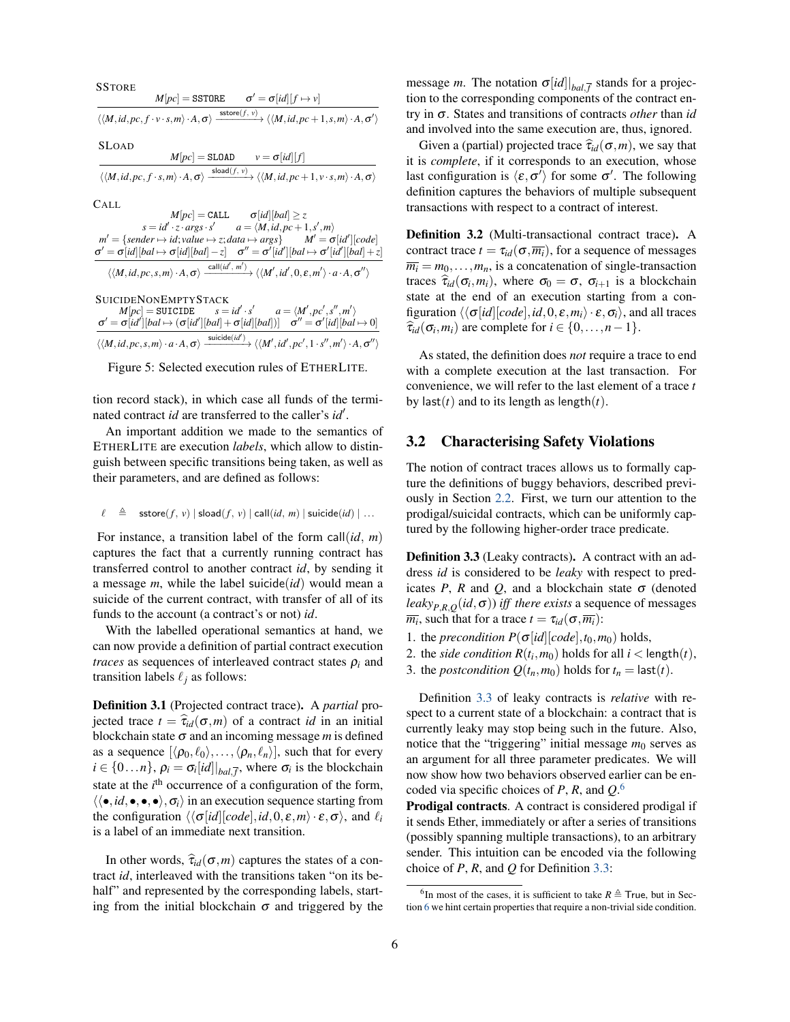<span id="page-5-0"></span>**SSTORE**  $M[pc] =$  SSTORE  $\pmb{\sigma}' = \pmb{\sigma}[id][f \mapsto v]$  $\langle\langle M, id, pc, f \cdot v \cdot s, m \rangle \cdot A, \sigma \rangle \xrightarrow{\text{star}(f, v)} \langle\langle M, id, pc+1, s, m \rangle \cdot A, \sigma' \rangle$ SLOAD

 $M[pc] =$  SLOAD  $v = \sigma[id][f]$  $\langle \langle M, id, pc, f \cdot s, m \rangle \cdot A, \sigma \rangle$  $\xrightarrow{\text{sload}(f, v)} \langle \langle M, id, pc+1, v \cdot s, m \rangle \cdot A, \sigma \rangle$ 

CALL

 $M[pc] = \texttt{CALL}$   $\sigma[id][bal] \geq z$  $s = id' \cdot z \cdot \text{args} \cdot s'$  $a = \langle M, id, pc+1, s', m \rangle$  $m' = \{sender \mapsto id; value \mapsto z; data \mapsto args\}$  *M*<sup> $\prime$ </sup> =  $\sigma[id'$  $M' = \sigma$ [id'][code]  $\sigma' = \sigma[id][bal \mapsto \sigma[id][bal] - z]$   $\sigma'' = \sigma'[id'][bal \mapsto \sigma'[id'][bal] + z]$  $\langle\langle M, id, pc, s, m \rangle \cdot A, \sigma \rangle \xrightarrow{\text{call}(id', m')} \langle\langle M', id', 0, \varepsilon, m' \rangle \cdot a \cdot A, \sigma'' \rangle$ 

**SUICIDENONEMPTYSTACK**  $M[pc] = \tt SUICIDE$  $\cdot$  *s*<sup> $\prime$ </sup>  $a = \langle M', pc', s'', m' \rangle$  $\sigma' = \sigma[id'][bal \mapsto (\sigma[id'][bal] + \sigma[id][bal])] \quad \sigma'' = \sigma'[id][bal \mapsto 0]$  $\langle\langle M, id, pc, s, m\rangle\cdot a\cdot A, \sigma\rangle \xrightarrow{\text{suicide}(id')}\langle\langle M', id', pc', 1\cdot s'', m'\rangle\cdot A, \sigma''\rangle$ 

Figure 5: Selected execution rules of ETHERLITE.

tion record stack), in which case all funds of the terminated contract *id* are transferred to the caller's *id'*.

An important addition we made to the semantics of ETHERLITE are execution *labels*, which allow to distinguish between specific transitions being taken, as well as their parameters, and are defined as follows:

$$
\ell \quad \triangleq \quad \mathsf{sstore}(f, v) \mid \mathsf{sload}(f, v) \mid \mathsf{call}(id, m) \mid \mathsf{suicide}(id) \mid \dots
$$

For instance, a transition label of the form call(*id*, *m*) captures the fact that a currently running contract has transferred control to another contract *id*, by sending it a message *m*, while the label suicide(*id*) would mean a suicide of the current contract, with transfer of all of its funds to the account (a contract's or not) *id*.

With the labelled operational semantics at hand, we can now provide a definition of partial contract execution *traces* as sequences of interleaved contract states  $\rho_i$  and transition labels  $\ell_i$  as follows:

Definition 3.1 (Projected contract trace). A *partial* projected trace  $t = \hat{\tau}_{id}(\sigma, m)$  of a contract *id* in an initial blockchain state  $\sigma$  and an incoming message *m* is defined as a sequence  $[\langle \rho_0, \ell_0 \rangle, \ldots, \langle \rho_n, \ell_n \rangle]$ , such that for every  $i \in \{0...n\}$ ,  $\rho_i = \sigma_i [id]|_{bal,\overline{f}},$  where  $\sigma_i$  is the blockchain state at the *i*<sup>th</sup> occurrence of a configuration of the form,  $\langle \langle \bullet, id, \bullet, \bullet, \bullet \rangle, \sigma_i \rangle$  in an execution sequence starting from the configuration  $\langle \langle \sigma[i d][code], id, 0, \varepsilon, m \rangle \cdot \varepsilon, \sigma \rangle$ , and  $\ell_i$ is a label of an immediate next transition.

In other words,  $\hat{\tau}_{id}(\sigma, m)$  captures the states of a contract *id*, interleaved with the transitions taken "on its behalf" and represented by the corresponding labels, starting from the initial blockchain  $\sigma$  and triggered by the

message *m*. The notation  $\sigma$ [*id*]  $|_{bal,\overline{f}}$  stands for a projection to the corresponding components of the contract entry in σ. States and transitions of contracts *other* than *id* and involved into the same execution are, thus, ignored.

Given a (partial) projected trace  $\hat{\tau}_{id}(\sigma,m)$ , we say that it is *complete*, if it corresponds to an execution, whose last configuration is  $\langle \varepsilon, \sigma' \rangle$  for some  $\sigma'$ . The following definition captures the behaviors of multiple subsequent transactions with respect to a contract of interest.

Definition 3.2 (Multi-transactional contract trace). A contract trace  $t = \tau_{id}(\sigma, \overline{m_i})$ , for a sequence of messages  $\overline{m_i} = m_0, \ldots, m_n$ , is a concatenation of single-transaction traces  $\hat{\tau}_{id}(\sigma_i, m_i)$ , where  $\sigma_0 = \sigma$ ,  $\sigma_{i+1}$  is a blockchain state at the end of an execution starting from a configuration  $\langle \langle \sigma[i d][code], id, 0, \varepsilon, m_i \rangle \cdot \varepsilon, \sigma_i \rangle$ , and all traces  $\hat{\tau}_{id}(\sigma_i, m_i)$  are complete for  $i \in \{0, \ldots, n-1\}.$ 

As stated, the definition does *not* require a trace to end with a complete execution at the last transaction. For convenience, we will refer to the last element of a trace *t* by last(*t*) and to its length as length(*t*).

#### 3.2 Characterising Safety Violations

The notion of contract traces allows us to formally capture the definitions of buggy behaviors, described previously in Section [2.2.](#page-1-0) First, we turn our attention to the prodigal/suicidal contracts, which can be uniformly captured by the following higher-order trace predicate.

<span id="page-5-1"></span>**Definition 3.3** (Leaky contracts). A contract with an address *id* is considered to be *leaky* with respect to predicates *P*, *R* and *Q*, and a blockchain state  $\sigma$  (denoted *leaky* $_{P,R,O}(id, \sigma)$ *) iff there exists* a sequence of messages  $\overline{m_i}$ , such that for a trace  $t = \tau_{id}(\sigma, \overline{m_i})$ :

- 1. the *precondition*  $P(\sigma[id][code], t_0, m_0)$  holds,
- 2. the *side condition*  $R(t_i, m_0)$  holds for all  $i <$  length $(t)$ ,
- 3. the *postcondition*  $Q(t_n, m_0)$  holds for  $t_n =$  last(*t*).

Definition [3.3](#page-5-1) of leaky contracts is *relative* with respect to a current state of a blockchain: a contract that is currently leaky may stop being such in the future. Also, notice that the "triggering" initial message  $m_0$  serves as an argument for all three parameter predicates. We will now show how two behaviors observed earlier can be encoded via specific choices of *P*, *R*, and *Q*. [6](#page-5-2)

Prodigal contracts. A contract is considered prodigal if it sends Ether, immediately or after a series of transitions (possibly spanning multiple transactions), to an arbitrary sender. This intuition can be encoded via the following choice of *P*, *R*, and *Q* for Definition [3.3:](#page-5-1)

<span id="page-5-2"></span><sup>&</sup>lt;sup>6</sup>In most of the cases, it is sufficient to take  $R \triangleq$  True, but in Section [6](#page-12-0) we hint certain properties that require a non-trivial side condition.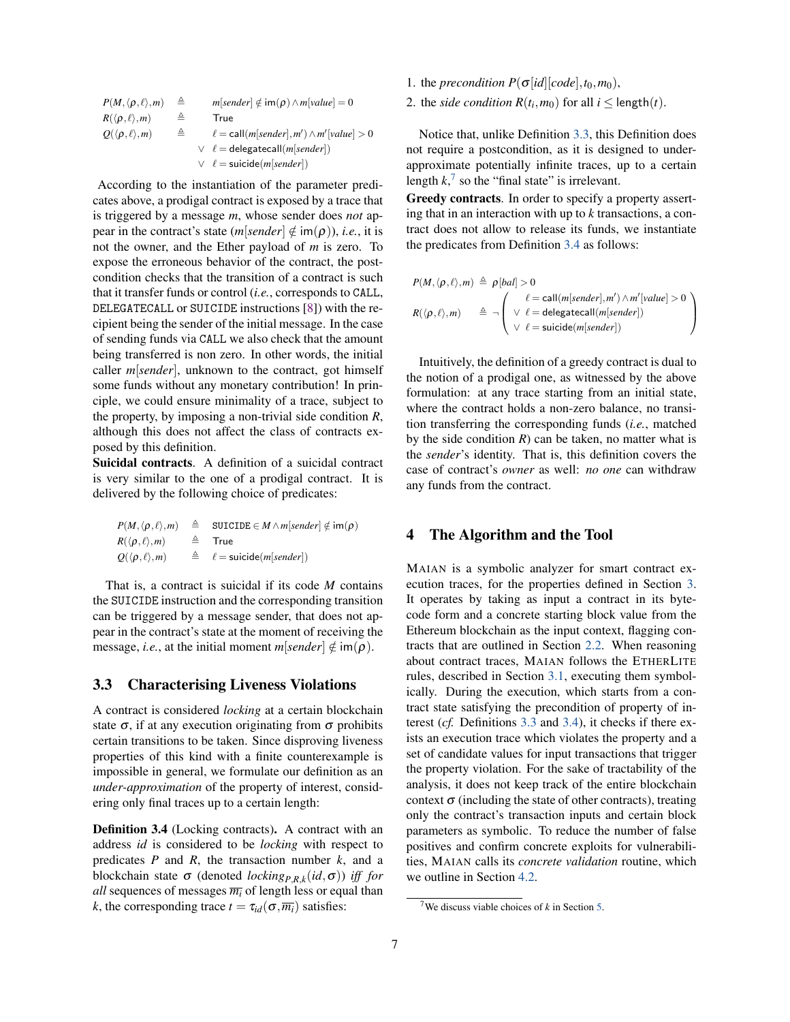| $P(M,\langle\rho,\ell\rangle,m)$   | ≜ | $m[sender] \notin \text{im}(\rho) \wedge m[value] = 0$   |
|------------------------------------|---|----------------------------------------------------------|
| $R(\langle \rho, \ell \rangle, m)$ | ≜ | True                                                     |
| $Q(\langle \rho, \ell \rangle, m)$ | ≜ | $\ell = \text{call}(m[sender], m') \wedge m'[value] > 0$ |
|                                    |   | $\vee$ $\ell =$ delegatecall( <i>m</i> [sender])         |
|                                    |   | $\vee$ $\ell$ = suicide( <i>m</i> [sender])              |

According to the instantiation of the parameter predicates above, a prodigal contract is exposed by a trace that is triggered by a message *m*, whose sender does *not* appear in the contract's state  $(m[sender] \notin \text{im}(\rho))$ , *i.e.*, it is not the owner, and the Ether payload of *m* is zero. To expose the erroneous behavior of the contract, the postcondition checks that the transition of a contract is such that it transfer funds or control (*i.e.*, corresponds to CALL, DELEGATECALL or SUICIDE instructions [\[8\]](#page-13-6)) with the recipient being the sender of the initial message. In the case of sending funds via CALL we also check that the amount being transferred is non zero. In other words, the initial caller *m*[*sender*], unknown to the contract, got himself some funds without any monetary contribution! In principle, we could ensure minimality of a trace, subject to the property, by imposing a non-trivial side condition *R*, although this does not affect the class of contracts exposed by this definition.

Suicidal contracts. A definition of a suicidal contract is very similar to the one of a prodigal contract. It is delivered by the following choice of predicates:

|                                                      | $P(M, \langle \rho, \ell \rangle, m) \triangleq$ SUICIDE $\in M \wedge m[\text{sender}] \notin \text{im}(\rho)$ |
|------------------------------------------------------|-----------------------------------------------------------------------------------------------------------------|
| $R(\langle \rho, \ell \rangle, m)$ $\triangleq$ True |                                                                                                                 |
| $Q(\langle \rho, \ell \rangle, m)$                   | $\triangleq \ell = \textsf{suicide}(m[sender])$                                                                 |

That is, a contract is suicidal if its code *M* contains the SUICIDE instruction and the corresponding transition can be triggered by a message sender, that does not appear in the contract's state at the moment of receiving the message, *i.e.*, at the initial moment  $m[sender] \notin \text{im}(\rho)$ .

# 3.3 Characterising Liveness Violations

A contract is considered *locking* at a certain blockchain state  $\sigma$ , if at any execution originating from  $\sigma$  prohibits certain transitions to be taken. Since disproving liveness properties of this kind with a finite counterexample is impossible in general, we formulate our definition as an *under-approximation* of the property of interest, considering only final traces up to a certain length:

<span id="page-6-2"></span>Definition 3.4 (Locking contracts). A contract with an address *id* is considered to be *locking* with respect to predicates *P* and *R*, the transaction number *k*, and a blockchain state σ (denoted *lockingP*,*R*,*<sup>k</sup>* (*id*,σ)) *iff for all* sequences of messages  $\overline{m_i}$  of length less or equal than *k*, the corresponding trace  $t = \tau_{id}(\sigma, \overline{m_i})$  satisfies:

- 1. the *precondition*  $P(\sigma[\text{id}][code], t_0, m_0)$ ,
- 2. the *side condition*  $R(t_i, m_0)$  for all  $i \leq$  length $(t)$ .

Notice that, unlike Definition [3.3,](#page-5-1) this Definition does not require a postcondition, as it is designed to underapproximate potentially infinite traces, up to a certain length  $k$ ,<sup>[7](#page-6-1)</sup> so the "final state" is irrelevant.

Greedy contracts. In order to specify a property asserting that in an interaction with up to *k* transactions, a contract does not allow to release its funds, we instantiate the predicates from Definition [3.4](#page-6-2) as follows:

$$
P(M, \langle \rho, \ell \rangle, m) \triangleq \rho[bal] > 0
$$
  

$$
R(\langle \rho, \ell \rangle, m) \triangleq \neg \left( \begin{array}{c} \ell = \text{call}(m[\text{sender}], m') \land m'[\text{value}] > 0 \\ \lor \ell = \text{delegatecall}(m[\text{sender}]) \\ \lor \ell = \text{suicide}(m[\text{sender}]) \end{array} \right)
$$

Intuitively, the definition of a greedy contract is dual to the notion of a prodigal one, as witnessed by the above formulation: at any trace starting from an initial state, where the contract holds a non-zero balance, no transition transferring the corresponding funds (*i.e.*, matched by the side condition  $R$ ) can be taken, no matter what is the *sender*'s identity. That is, this definition covers the case of contract's *owner* as well: *no one* can withdraw any funds from the contract.

## <span id="page-6-0"></span>4 The Algorithm and the Tool

MAIAN is a symbolic analyzer for smart contract execution traces, for the properties defined in Section [3.](#page-4-0) It operates by taking as input a contract in its bytecode form and a concrete starting block value from the Ethereum blockchain as the input context, flagging contracts that are outlined in Section [2.2.](#page-1-0) When reasoning about contract traces, MAIAN follows the ETHERLITE rules, described in Section [3.1,](#page-4-3) executing them symbolically. During the execution, which starts from a contract state satisfying the precondition of property of interest (*cf.* Definitions [3.3](#page-5-1) and [3.4\)](#page-6-2), it checks if there exists an execution trace which violates the property and a set of candidate values for input transactions that trigger the property violation. For the sake of tractability of the analysis, it does not keep track of the entire blockchain context  $\sigma$  (including the state of other contracts), treating only the contract's transaction inputs and certain block parameters as symbolic. To reduce the number of false positives and confirm concrete exploits for vulnerabilities, MAIAN calls its *concrete validation* routine, which we outline in Section [4.2.](#page-8-1)

<span id="page-6-1"></span><sup>7</sup>We discuss viable choices of *k* in Section [5.](#page-8-0)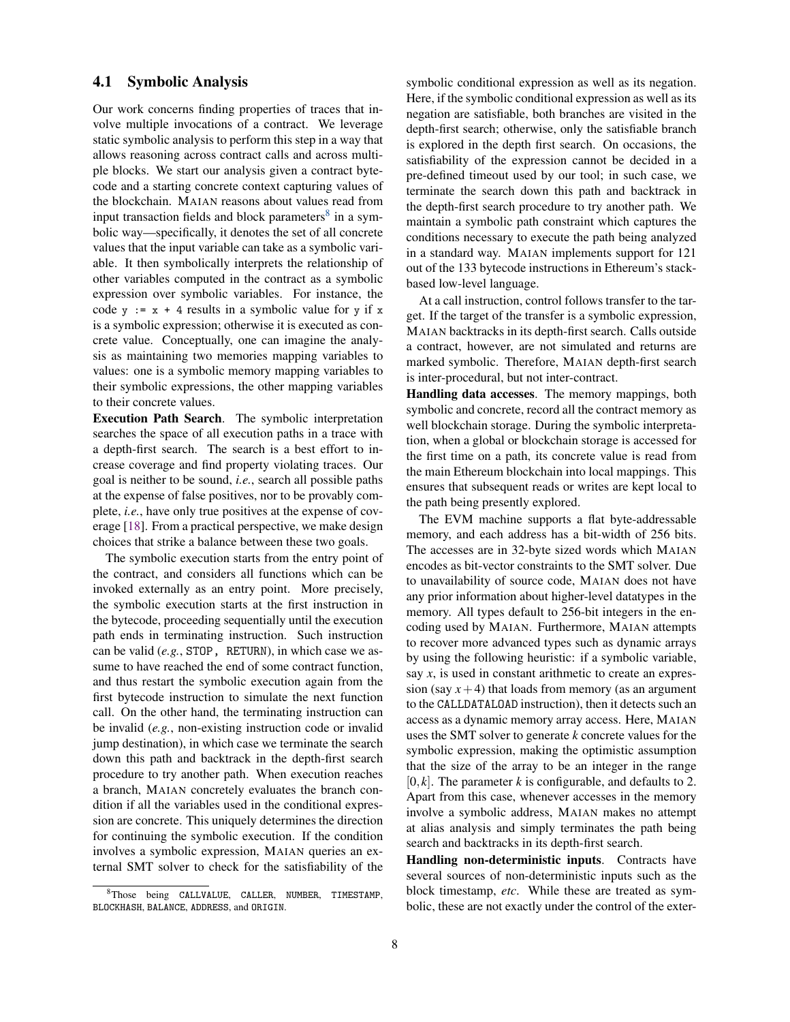## 4.1 Symbolic Analysis

Our work concerns finding properties of traces that involve multiple invocations of a contract. We leverage static symbolic analysis to perform this step in a way that allows reasoning across contract calls and across multiple blocks. We start our analysis given a contract bytecode and a starting concrete context capturing values of the blockchain. MAIAN reasons about values read from input transaction fields and block parameters $8$  in a symbolic way—specifically, it denotes the set of all concrete values that the input variable can take as a symbolic variable. It then symbolically interprets the relationship of other variables computed in the contract as a symbolic expression over symbolic variables. For instance, the code  $y := x + 4$  results in a symbolic value for y if x is a symbolic expression; otherwise it is executed as concrete value. Conceptually, one can imagine the analysis as maintaining two memories mapping variables to values: one is a symbolic memory mapping variables to their symbolic expressions, the other mapping variables to their concrete values.

Execution Path Search. The symbolic interpretation searches the space of all execution paths in a trace with a depth-first search. The search is a best effort to increase coverage and find property violating traces. Our goal is neither to be sound, *i.e.*, search all possible paths at the expense of false positives, nor to be provably complete, *i.e.*, have only true positives at the expense of coverage [\[18\]](#page-13-14). From a practical perspective, we make design choices that strike a balance between these two goals.

The symbolic execution starts from the entry point of the contract, and considers all functions which can be invoked externally as an entry point. More precisely, the symbolic execution starts at the first instruction in the bytecode, proceeding sequentially until the execution path ends in terminating instruction. Such instruction can be valid (*e.g.*, STOP, RETURN), in which case we assume to have reached the end of some contract function, and thus restart the symbolic execution again from the first bytecode instruction to simulate the next function call. On the other hand, the terminating instruction can be invalid (*e.g.*, non-existing instruction code or invalid jump destination), in which case we terminate the search down this path and backtrack in the depth-first search procedure to try another path. When execution reaches a branch, MAIAN concretely evaluates the branch condition if all the variables used in the conditional expression are concrete. This uniquely determines the direction for continuing the symbolic execution. If the condition involves a symbolic expression, MAIAN queries an external SMT solver to check for the satisfiability of the

<span id="page-7-0"></span><sup>8</sup>Those being CALLVALUE, CALLER, NUMBER, TIMESTAMP, BLOCKHASH, BALANCE, ADDRESS, and ORIGIN.

symbolic conditional expression as well as its negation. Here, if the symbolic conditional expression as well as its negation are satisfiable, both branches are visited in the depth-first search; otherwise, only the satisfiable branch is explored in the depth first search. On occasions, the satisfiability of the expression cannot be decided in a pre-defined timeout used by our tool; in such case, we terminate the search down this path and backtrack in the depth-first search procedure to try another path. We maintain a symbolic path constraint which captures the conditions necessary to execute the path being analyzed in a standard way. MAIAN implements support for 121 out of the 133 bytecode instructions in Ethereum's stackbased low-level language.

At a call instruction, control follows transfer to the target. If the target of the transfer is a symbolic expression, MAIAN backtracks in its depth-first search. Calls outside a contract, however, are not simulated and returns are marked symbolic. Therefore, MAIAN depth-first search is inter-procedural, but not inter-contract.

Handling data accesses. The memory mappings, both symbolic and concrete, record all the contract memory as well blockchain storage. During the symbolic interpretation, when a global or blockchain storage is accessed for the first time on a path, its concrete value is read from the main Ethereum blockchain into local mappings. This ensures that subsequent reads or writes are kept local to the path being presently explored.

The EVM machine supports a flat byte-addressable memory, and each address has a bit-width of 256 bits. The accesses are in 32-byte sized words which MAIAN encodes as bit-vector constraints to the SMT solver. Due to unavailability of source code, MAIAN does not have any prior information about higher-level datatypes in the memory. All types default to 256-bit integers in the encoding used by MAIAN. Furthermore, MAIAN attempts to recover more advanced types such as dynamic arrays by using the following heuristic: if a symbolic variable, say *x*, is used in constant arithmetic to create an expression (say  $x+4$ ) that loads from memory (as an argument to the CALLDATALOAD instruction), then it detects such an access as a dynamic memory array access. Here, MAIAN uses the SMT solver to generate *k* concrete values for the symbolic expression, making the optimistic assumption that the size of the array to be an integer in the range  $[0, k]$ . The parameter *k* is configurable, and defaults to 2. Apart from this case, whenever accesses in the memory involve a symbolic address, MAIAN makes no attempt at alias analysis and simply terminates the path being search and backtracks in its depth-first search.

Handling non-deterministic inputs. Contracts have several sources of non-deterministic inputs such as the block timestamp, *etc*. While these are treated as symbolic, these are not exactly under the control of the exter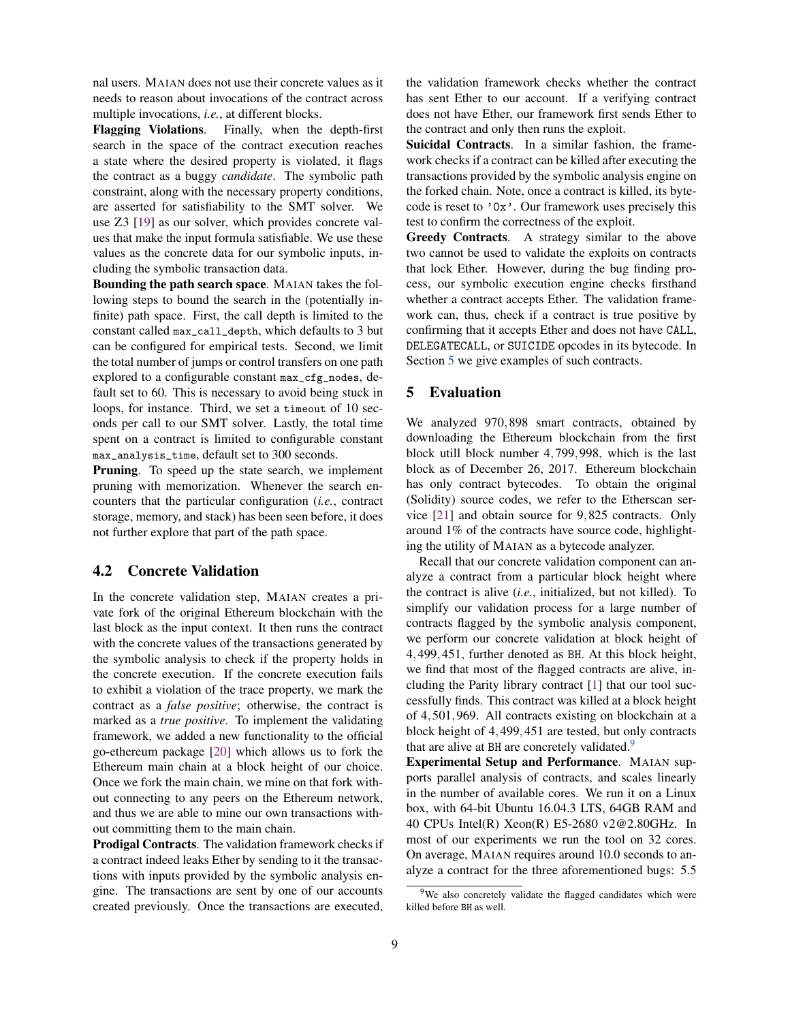nal users. MAIAN does not use their concrete values as it needs to reason about invocations of the contract across multiple invocations, *i.e.*, at different blocks.

Flagging Violations. Finally, when the depth-first search in the space of the contract execution reaches a state where the desired property is violated, it flags the contract as a buggy *candidate*. The symbolic path constraint, along with the necessary property conditions, are asserted for satisfiability to the SMT solver. We use Z3 [\[19\]](#page-13-15) as our solver, which provides concrete values that make the input formula satisfiable. We use these values as the concrete data for our symbolic inputs, including the symbolic transaction data.

Bounding the path search space. MAIAN takes the following steps to bound the search in the (potentially infinite) path space. First, the call depth is limited to the constant called max\_call\_depth, which defaults to 3 but can be configured for empirical tests. Second, we limit the total number of jumps or control transfers on one path explored to a configurable constant max\_cfg\_nodes, default set to 60. This is necessary to avoid being stuck in loops, for instance. Third, we set a timeout of 10 seconds per call to our SMT solver. Lastly, the total time spent on a contract is limited to configurable constant max\_analysis\_time, default set to 300 seconds.

Pruning. To speed up the state search, we implement pruning with memorization. Whenever the search encounters that the particular configuration (*i.e.*, contract storage, memory, and stack) has been seen before, it does not further explore that part of the path space.

#### <span id="page-8-1"></span>4.2 Concrete Validation

In the concrete validation step, MAIAN creates a private fork of the original Ethereum blockchain with the last block as the input context. It then runs the contract with the concrete values of the transactions generated by the symbolic analysis to check if the property holds in the concrete execution. If the concrete execution fails to exhibit a violation of the trace property, we mark the contract as a *false positive*; otherwise, the contract is marked as a *true positive*. To implement the validating framework, we added a new functionality to the official go-ethereum package [\[20\]](#page-13-16) which allows us to fork the Ethereum main chain at a block height of our choice. Once we fork the main chain, we mine on that fork without connecting to any peers on the Ethereum network, and thus we are able to mine our own transactions without committing them to the main chain.

Prodigal Contracts. The validation framework checks if a contract indeed leaks Ether by sending to it the transactions with inputs provided by the symbolic analysis engine. The transactions are sent by one of our accounts created previously. Once the transactions are executed, the validation framework checks whether the contract has sent Ether to our account. If a verifying contract does not have Ether, our framework first sends Ether to the contract and only then runs the exploit.

Suicidal Contracts. In a similar fashion, the framework checks if a contract can be killed after executing the transactions provided by the symbolic analysis engine on the forked chain. Note, once a contract is killed, its bytecode is reset to '0x'. Our framework uses precisely this test to confirm the correctness of the exploit.

Greedy Contracts. A strategy similar to the above two cannot be used to validate the exploits on contracts that lock Ether. However, during the bug finding process, our symbolic execution engine checks firsthand whether a contract accepts Ether. The validation framework can, thus, check if a contract is true positive by confirming that it accepts Ether and does not have CALL, DELEGATECALL, or SUICIDE opcodes in its bytecode. In Section [5](#page-8-0) we give examples of such contracts.

#### <span id="page-8-0"></span>5 Evaluation

We analyzed 970,898 smart contracts, obtained by downloading the Ethereum blockchain from the first block utill block number 4,799,998, which is the last block as of December 26, 2017. Ethereum blockchain has only contract bytecodes. To obtain the original (Solidity) source codes, we refer to the Etherscan service [\[21\]](#page-13-17) and obtain source for 9,825 contracts. Only around 1% of the contracts have source code, highlighting the utility of MAIAN as a bytecode analyzer.

Recall that our concrete validation component can analyze a contract from a particular block height where the contract is alive (*i.e.*, initialized, but not killed). To simplify our validation process for a large number of contracts flagged by the symbolic analysis component, we perform our concrete validation at block height of 4,499,451, further denoted as BH. At this block height, we find that most of the flagged contracts are alive, including the Parity library contract [\[1\]](#page-13-0) that our tool successfully finds. This contract was killed at a block height of 4,501,969. All contracts existing on blockchain at a block height of 4,499,451 are tested, but only contracts that are alive at BH are concretely validated.<sup>[9](#page-8-2)</sup>

Experimental Setup and Performance. MAIAN supports parallel analysis of contracts, and scales linearly in the number of available cores. We run it on a Linux box, with 64-bit Ubuntu 16.04.3 LTS, 64GB RAM and 40 CPUs Intel(R) Xeon(R) E5-2680 v2@2.80GHz. In most of our experiments we run the tool on 32 cores. On average, MAIAN requires around 10.0 seconds to analyze a contract for the three aforementioned bugs: 5.5

<span id="page-8-2"></span><sup>&</sup>lt;sup>9</sup>We also concretely validate the flagged candidates which were killed before BH as well.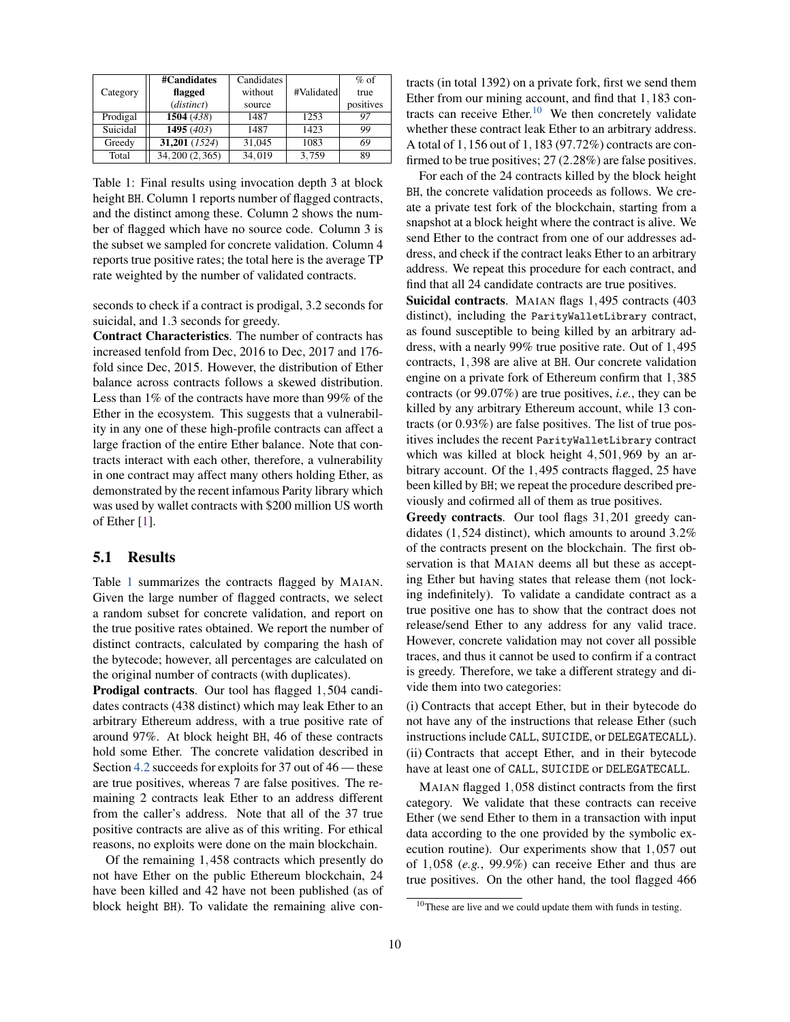<span id="page-9-0"></span>

|          | #Candidates      | Candidates |            | $%$ of    |
|----------|------------------|------------|------------|-----------|
| Category | flagged          | without    | #Validated | true      |
|          | (distinct)       | source     |            | positives |
| Prodigal | 1504 (438)       | 1487       | 1253       | 97        |
| Suicidal | 1495 $(403)$     | 1487       | 1423       | 99        |
| Greedy   | 31,201 (1524)    | 31,045     | 1083       | 69        |
| Total    | 34, 200 (2, 365) | 34.019     | 3.759      | 89        |

Table 1: Final results using invocation depth 3 at block height BH. Column 1 reports number of flagged contracts, and the distinct among these. Column 2 shows the number of flagged which have no source code. Column 3 is the subset we sampled for concrete validation. Column 4 reports true positive rates; the total here is the average TP rate weighted by the number of validated contracts.

seconds to check if a contract is prodigal, 3.2 seconds for suicidal, and 1.3 seconds for greedy.

Contract Characteristics. The number of contracts has increased tenfold from Dec, 2016 to Dec, 2017 and 176 fold since Dec, 2015. However, the distribution of Ether balance across contracts follows a skewed distribution. Less than 1% of the contracts have more than 99% of the Ether in the ecosystem. This suggests that a vulnerability in any one of these high-profile contracts can affect a large fraction of the entire Ether balance. Note that contracts interact with each other, therefore, a vulnerability in one contract may affect many others holding Ether, as demonstrated by the recent infamous Parity library which was used by wallet contracts with \$200 million US worth of Ether [\[1\]](#page-13-0).

#### 5.1 Results

Table [1](#page-9-0) summarizes the contracts flagged by MAIAN. Given the large number of flagged contracts, we select a random subset for concrete validation, and report on the true positive rates obtained. We report the number of distinct contracts, calculated by comparing the hash of the bytecode; however, all percentages are calculated on the original number of contracts (with duplicates).

Prodigal contracts. Our tool has flagged 1,504 candidates contracts (438 distinct) which may leak Ether to an arbitrary Ethereum address, with a true positive rate of around 97%. At block height BH, 46 of these contracts hold some Ether. The concrete validation described in Section [4.2](#page-8-1) succeeds for exploits for 37 out of 46 — these are true positives, whereas 7 are false positives. The remaining 2 contracts leak Ether to an address different from the caller's address. Note that all of the 37 true positive contracts are alive as of this writing. For ethical reasons, no exploits were done on the main blockchain.

Of the remaining 1,458 contracts which presently do not have Ether on the public Ethereum blockchain, 24 have been killed and 42 have not been published (as of block height BH). To validate the remaining alive contracts (in total 1392) on a private fork, first we send them Ether from our mining account, and find that 1,183 con-tracts can receive Ether.<sup>[10](#page-9-1)</sup> We then concretely validate whether these contract leak Ether to an arbitrary address. A total of 1,156 out of 1,183 (97.72%) contracts are confirmed to be true positives; 27 (2.28%) are false positives.

For each of the 24 contracts killed by the block height BH, the concrete validation proceeds as follows. We create a private test fork of the blockchain, starting from a snapshot at a block height where the contract is alive. We send Ether to the contract from one of our addresses address, and check if the contract leaks Ether to an arbitrary address. We repeat this procedure for each contract, and find that all 24 candidate contracts are true positives.

Suicidal contracts. MAIAN flags 1,495 contracts (403 distinct), including the ParityWalletLibrary contract, as found susceptible to being killed by an arbitrary address, with a nearly 99% true positive rate. Out of 1,495 contracts, 1,398 are alive at BH. Our concrete validation engine on a private fork of Ethereum confirm that 1,385 contracts (or 99.07%) are true positives, *i.e.*, they can be killed by any arbitrary Ethereum account, while 13 contracts (or 0.93%) are false positives. The list of true positives includes the recent ParityWalletLibrary contract which was killed at block height 4,501,969 by an arbitrary account. Of the 1,495 contracts flagged, 25 have been killed by BH; we repeat the procedure described previously and cofirmed all of them as true positives.

Greedy contracts. Our tool flags 31,201 greedy candidates (1,524 distinct), which amounts to around 3.2% of the contracts present on the blockchain. The first observation is that MAIAN deems all but these as accepting Ether but having states that release them (not locking indefinitely). To validate a candidate contract as a true positive one has to show that the contract does not release/send Ether to any address for any valid trace. However, concrete validation may not cover all possible traces, and thus it cannot be used to confirm if a contract is greedy. Therefore, we take a different strategy and divide them into two categories:

(i) Contracts that accept Ether, but in their bytecode do not have any of the instructions that release Ether (such instructions include CALL, SUICIDE, or DELEGATECALL). (ii) Contracts that accept Ether, and in their bytecode have at least one of CALL, SUICIDE or DELEGATECALL.

MAIAN flagged 1,058 distinct contracts from the first category. We validate that these contracts can receive Ether (we send Ether to them in a transaction with input data according to the one provided by the symbolic execution routine). Our experiments show that 1,057 out of 1,058 (*e.g.*, 99.9%) can receive Ether and thus are true positives. On the other hand, the tool flagged 466

<span id="page-9-1"></span><sup>10</sup>These are live and we could update them with funds in testing.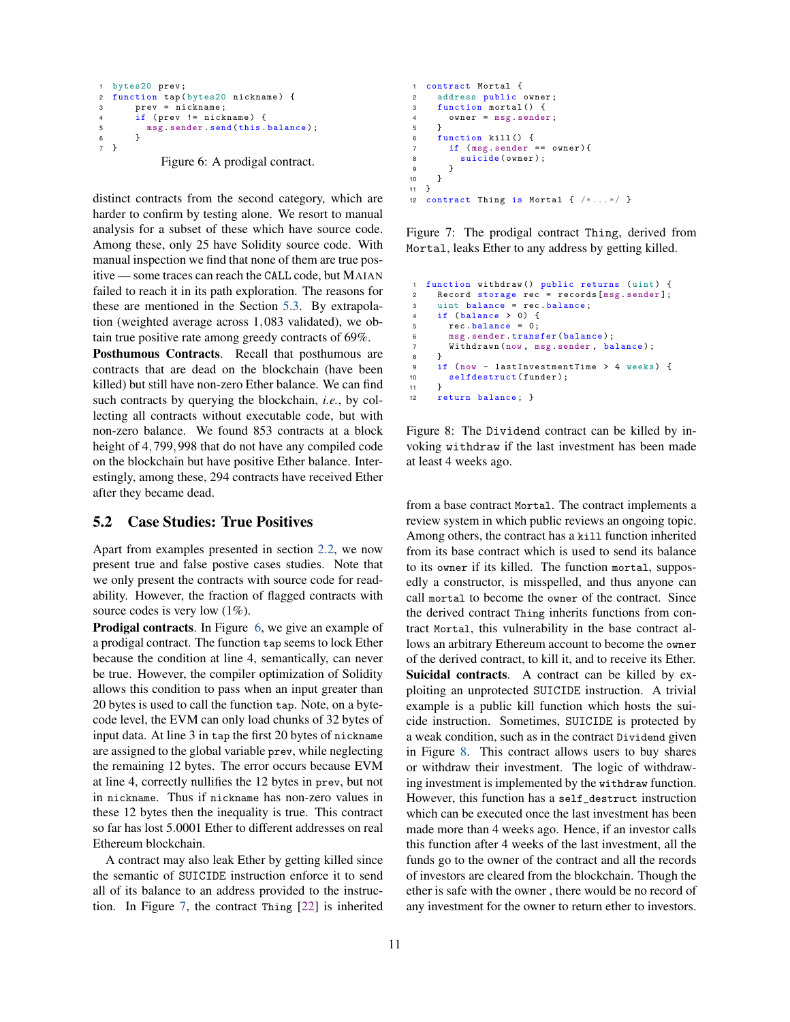```
1 bytes20 prev ;
2 function tap (bytes20 nickname) {
3 prev = nickname ;
4 if ( prev != nickname ) {
5 msg. sender. send (this. balance);
6 }
7 }
```
Figure 6: A prodigal contract.

distinct contracts from the second category, which are harder to confirm by testing alone. We resort to manual analysis for a subset of these which have source code. Among these, only 25 have Solidity source code. With manual inspection we find that none of them are true positive — some traces can reach the CALL code, but MAIAN failed to reach it in its path exploration. The reasons for these are mentioned in the Section [5.3.](#page-11-0) By extrapolation (weighted average across 1,083 validated), we obtain true positive rate among greedy contracts of 69%.

Posthumous Contracts. Recall that posthumous are contracts that are dead on the blockchain (have been killed) but still have non-zero Ether balance. We can find such contracts by querying the blockchain, *i.e.*, by collecting all contracts without executable code, but with non-zero balance. We found 853 contracts at a block height of 4,799,998 that do not have any compiled code on the blockchain but have positive Ether balance. Interestingly, among these, 294 contracts have received Ether after they became dead.

#### 5.2 Case Studies: True Positives

Apart from examples presented in section [2.2,](#page-1-0) we now present true and false postive cases studies. Note that we only present the contracts with source code for readability. However, the fraction of flagged contracts with source codes is very low  $(1\%)$ .

**Prodigal contracts.** In Figure [6,](#page-10-0) we give an example of a prodigal contract. The function tap seems to lock Ether because the condition at line 4, semantically, can never be true. However, the compiler optimization of Solidity allows this condition to pass when an input greater than 20 bytes is used to call the function tap. Note, on a bytecode level, the EVM can only load chunks of 32 bytes of input data. At line 3 in tap the first 20 bytes of nickname are assigned to the global variable prev, while neglecting the remaining 12 bytes. The error occurs because EVM at line 4, correctly nullifies the 12 bytes in prev, but not in nickname. Thus if nickname has non-zero values in these 12 bytes then the inequality is true. This contract so far has lost 5.0001 Ether to different addresses on real Ethereum blockchain.

A contract may also leak Ether by getting killed since the semantic of SUICIDE instruction enforce it to send all of its balance to an address provided to the instruction. In Figure [7,](#page-10-1) the contract Thing [\[22\]](#page-13-18) is inherited

```
1 contract Mortal {
2 address public owner ;
3 function mortal () {
4 owner = msg . sender ;
5 }
6 function kill () {
7 if (msg.sender == owner){
8 suicide (owner);<br>9 }
      9 }
10 }
11 }
12 contract Thing is Mortal { /* ... */ }
```
Figure 7: The prodigal contract Thing, derived from Mortal, leaks Ether to any address by getting killed.

```
1 function withdraw () public returns (uint) {
2 Record storage rec = records [msg.sender];
3 uint balance = rec . balance ;
4 if (balance > 0) {
5 rec . balance = 0;
6 msg.sender.transfer(balance);
7 Withdrawn (now, msg. sender, balance);
8 }
9 if (now - lastInvestmentTime > 4 weeks) {
10 selfdestruct (funder);<br>11 }
11 }
    return balance; }
```
Figure 8: The Dividend contract can be killed by invoking withdraw if the last investment has been made at least 4 weeks ago.

from a base contract Mortal. The contract implements a review system in which public reviews an ongoing topic. Among others, the contract has a kill function inherited from its base contract which is used to send its balance to its owner if its killed. The function mortal, supposedly a constructor, is misspelled, and thus anyone can call mortal to become the owner of the contract. Since the derived contract Thing inherits functions from contract Mortal, this vulnerability in the base contract allows an arbitrary Ethereum account to become the owner of the derived contract, to kill it, and to receive its Ether. Suicidal contracts. A contract can be killed by exploiting an unprotected SUICIDE instruction. A trivial example is a public kill function which hosts the suicide instruction. Sometimes, SUICIDE is protected by a weak condition, such as in the contract Dividend given in Figure [8.](#page-10-2) This contract allows users to buy shares or withdraw their investment. The logic of withdrawing investment is implemented by the withdraw function. However, this function has a self\_destruct instruction which can be executed once the last investment has been made more than 4 weeks ago. Hence, if an investor calls this function after 4 weeks of the last investment, all the funds go to the owner of the contract and all the records of investors are cleared from the blockchain. Though the ether is safe with the owner , there would be no record of any investment for the owner to return ether to investors.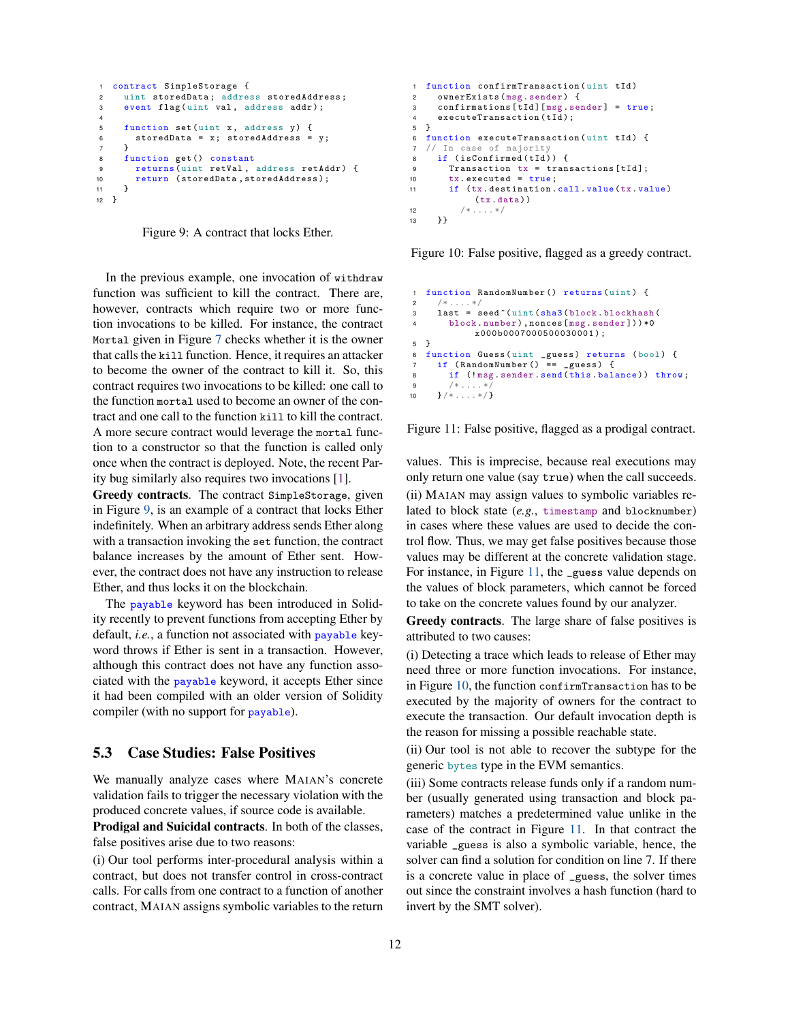```
1 contract SimpleStorage {
2 uint storedData; address storedAddress;
3 event flag (uint val, address addr):
4
5 function set (uint x, address y) {
6 storedData = x; storedAddress = y;
7 }
8 function get () constant<br>9 returns (uint retVal.
       returns (uint retVal, address retAddr) {
10 return (storedData, storedAddress);<br>11 }
     \rightarrow12 }
```
Figure 9: A contract that locks Ether.

In the previous example, one invocation of withdraw function was sufficient to kill the contract. There are, however, contracts which require two or more function invocations to be killed. For instance, the contract Mortal given in Figure [7](#page-10-1) checks whether it is the owner that calls the kill function. Hence, it requires an attacker to become the owner of the contract to kill it. So, this contract requires two invocations to be killed: one call to the function mortal used to become an owner of the contract and one call to the function kill to kill the contract. A more secure contract would leverage the mortal function to a constructor so that the function is called only once when the contract is deployed. Note, the recent Parity bug similarly also requires two invocations [\[1\]](#page-13-0).

Greedy contracts. The contract SimpleStorage, given in Figure [9,](#page-11-1) is an example of a contract that locks Ether indefinitely. When an arbitrary address sends Ether along with a transaction invoking the set function, the contract balance increases by the amount of Ether sent. However, the contract does not have any instruction to release Ether, and thus locks it on the blockchain.

The payable keyword has been introduced in Solidity recently to prevent functions from accepting Ether by default, *i.e.*, a function not associated with payable keyword throws if Ether is sent in a transaction. However, although this contract does not have any function associated with the payable keyword, it accepts Ether since it had been compiled with an older version of Solidity compiler (with no support for payable).

### <span id="page-11-0"></span>5.3 Case Studies: False Positives

We manually analyze cases where MAIAN's concrete validation fails to trigger the necessary violation with the produced concrete values, if source code is available.

Prodigal and Suicidal contracts. In both of the classes, false positives arise due to two reasons:

(i) Our tool performs inter-procedural analysis within a contract, but does not transfer control in cross-contract calls. For calls from one contract to a function of another contract, MAIAN assigns symbolic variables to the return

```
1 function confirmTransaction (uint tId)
 2 ownerExists ( msg . sender ) {
3 confirmations [ tId ][ msg . sender ] = true ;
4 executeTransaction(tId);
5 }
6 function executeTransaction (uint tId) {
7 // In case of majority
8 if (isConfirmed (tId)) {<br>9 Transaction tx = tranTransaction tx = transactions [ tId ];
10 tx.executed = true;<br>11 if (tx.destination.if (tx.destination.call.value(tx.value)(tx. data ))
12 /* \dots */13 \t33
```
Figure 10: False positive, flagged as a greedy contract.

```
1 function RandomNumber () returns (uint) {<br>2 /*....*/
 2 /* .... */
3 last = seed ^( uint ( sha3 ( block . blockhash (
4 block . number ) ,nonces [ msg . sender ]) ) *0
               x000b0007000500030001 ) ;
5 }<br>6 f
  function Guess ( uint _guess ) returns ( bool ) {
7 if (RandomNumber () == _guess) {<br>8 if (!msg.sender.send(this.bala
         if (!msg. sender send (this . balance)) throw;
9 /* \dots * /<br>10 \} / * \dots * /}/* .... */}
```
Figure 11: False positive, flagged as a prodigal contract.

values. This is imprecise, because real executions may only return one value (say true) when the call succeeds.

(ii) MAIAN may assign values to symbolic variables related to block state (*e.g.*, timestamp and blocknumber) in cases where these values are used to decide the control flow. Thus, we may get false positives because those values may be different at the concrete validation stage. For instance, in Figure [11,](#page-11-2) the \_guess value depends on the values of block parameters, which cannot be forced to take on the concrete values found by our analyzer.

Greedy contracts. The large share of false positives is attributed to two causes:

(i) Detecting a trace which leads to release of Ether may need three or more function invocations. For instance, in Figure [10,](#page-11-3) the function confirmTransaction has to be executed by the majority of owners for the contract to execute the transaction. Our default invocation depth is the reason for missing a possible reachable state.

(ii) Our tool is not able to recover the subtype for the generic bytes type in the EVM semantics.

(iii) Some contracts release funds only if a random number (usually generated using transaction and block parameters) matches a predetermined value unlike in the case of the contract in Figure [11.](#page-11-2) In that contract the variable \_guess is also a symbolic variable, hence, the solver can find a solution for condition on line 7. If there is a concrete value in place of \_guess, the solver times out since the constraint involves a hash function (hard to invert by the SMT solver).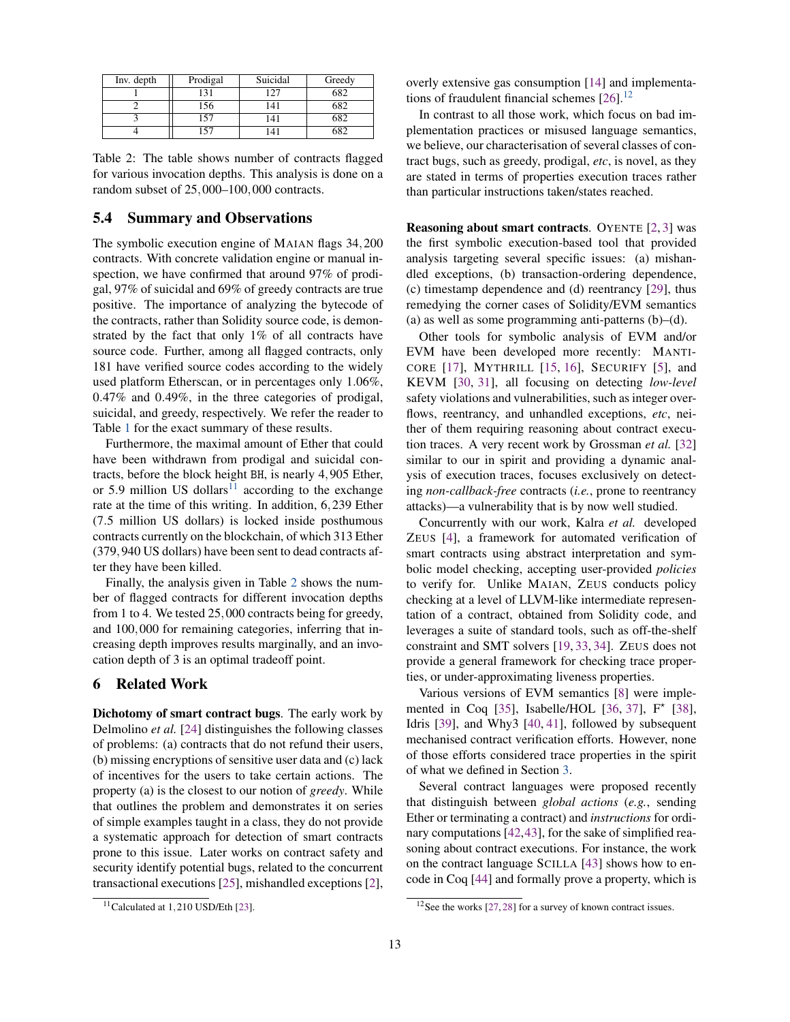<span id="page-12-2"></span>

| Inv. depth | Prodigal | Suicidal | Greedy |
|------------|----------|----------|--------|
|            | l31      |          | 682    |
|            | .56      | 141      | 682    |
|            | 57       | l 41     | 682    |
|            |          |          | ናጸገ    |

Table 2: The table shows number of contracts flagged for various invocation depths. This analysis is done on a random subset of 25,000–100,000 contracts.

# 5.4 Summary and Observations

The symbolic execution engine of MAIAN flags 34,200 contracts. With concrete validation engine or manual inspection, we have confirmed that around 97% of prodigal, 97% of suicidal and 69% of greedy contracts are true positive. The importance of analyzing the bytecode of the contracts, rather than Solidity source code, is demonstrated by the fact that only 1% of all contracts have source code. Further, among all flagged contracts, only 181 have verified source codes according to the widely used platform Etherscan, or in percentages only 1.06%, 0.47% and 0.49%, in the three categories of prodigal, suicidal, and greedy, respectively. We refer the reader to Table [1](#page-9-0) for the exact summary of these results.

Furthermore, the maximal amount of Ether that could have been withdrawn from prodigal and suicidal contracts, before the block height BH, is nearly 4,905 Ether, or 5.9 million US dollars<sup>[11](#page-12-1)</sup> according to the exchange rate at the time of this writing. In addition, 6,239 Ether (7.5 million US dollars) is locked inside posthumous contracts currently on the blockchain, of which 313 Ether (379,940 US dollars) have been sent to dead contracts after they have been killed.

Finally, the analysis given in Table [2](#page-12-2) shows the number of flagged contracts for different invocation depths from 1 to 4. We tested 25,000 contracts being for greedy, and 100,000 for remaining categories, inferring that increasing depth improves results marginally, and an invocation depth of 3 is an optimal tradeoff point.

# <span id="page-12-0"></span>6 Related Work

Dichotomy of smart contract bugs. The early work by Delmolino *et al.* [\[24\]](#page-13-19) distinguishes the following classes of problems: (a) contracts that do not refund their users, (b) missing encryptions of sensitive user data and (c) lack of incentives for the users to take certain actions. The property (a) is the closest to our notion of *greedy*. While that outlines the problem and demonstrates it on series of simple examples taught in a class, they do not provide a systematic approach for detection of smart contracts prone to this issue. Later works on contract safety and security identify potential bugs, related to the concurrent transactional executions [\[25\]](#page-13-20), mishandled exceptions [\[2\]](#page-13-1), overly extensive gas consumption [\[14\]](#page-13-12) and implementations of fraudulent financial schemes  $[26]$ .<sup>[12](#page-12-3)</sup>

In contrast to all those work, which focus on bad implementation practices or misused language semantics, we believe, our characterisation of several classes of contract bugs, such as greedy, prodigal, *etc*, is novel, as they are stated in terms of properties execution traces rather than particular instructions taken/states reached.

Reasoning about smart contracts. OYENTE [\[2,](#page-13-1)[3\]](#page-13-5) was the first symbolic execution-based tool that provided analysis targeting several specific issues: (a) mishandled exceptions, (b) transaction-ordering dependence, (c) timestamp dependence and (d) reentrancy [\[29\]](#page-13-23), thus remedying the corner cases of Solidity/EVM semantics (a) as well as some programming anti-patterns  $(b)$ – $(d)$ .

Other tools for symbolic analysis of EVM and/or EVM have been developed more recently: MANTI-CORE [\[17\]](#page-13-13), MYTHRILL [\[15,](#page-13-24) [16\]](#page-13-25), SECURIFY [\[5\]](#page-13-2), and KEVM [\[30,](#page-13-26) [31\]](#page-13-27), all focusing on detecting *low-level* safety violations and vulnerabilities, such as integer overflows, reentrancy, and unhandled exceptions, *etc*, neither of them requiring reasoning about contract execution traces. A very recent work by Grossman *et al.* [\[32\]](#page-13-28) similar to our in spirit and providing a dynamic analysis of execution traces, focuses exclusively on detecting *non-callback-free* contracts (*i.e.*, prone to reentrancy attacks)—a vulnerability that is by now well studied.

Concurrently with our work, Kalra *et al.* developed ZEUS [\[4\]](#page-13-29), a framework for automated verification of smart contracts using abstract interpretation and symbolic model checking, accepting user-provided *policies* to verify for. Unlike MAIAN, ZEUS conducts policy checking at a level of LLVM-like intermediate representation of a contract, obtained from Solidity code, and leverages a suite of standard tools, such as off-the-shelf constraint and SMT solvers [\[19,](#page-13-15) [33,](#page-13-30) [34\]](#page-13-31). ZEUS does not provide a general framework for checking trace properties, or under-approximating liveness properties.

Various versions of EVM semantics [\[8\]](#page-13-6) were imple-mented in Coq [\[35\]](#page-13-32), Isabelle/HOL [\[36,](#page-13-33) [37\]](#page-13-34),  $F^*$  [\[38\]](#page-13-35), Idris [\[39\]](#page-13-36), and Why3 [\[40,](#page-14-0) [41\]](#page-14-1), followed by subsequent mechanised contract verification efforts. However, none of those efforts considered trace properties in the spirit of what we defined in Section [3.](#page-4-0)

Several contract languages were proposed recently that distinguish between *global actions* (*e.g.*, sending Ether or terminating a contract) and *instructions* for ordinary computations [\[42,](#page-14-2)[43\]](#page-14-3), for the sake of simplified reasoning about contract executions. For instance, the work on the contract language SCILLA [\[43\]](#page-14-3) shows how to encode in Coq [\[44\]](#page-14-4) and formally prove a property, which is

<span id="page-12-1"></span> $11$ Calculated at 1,210 USD/Eth [\[23\]](#page-13-21).

<span id="page-12-3"></span> $12$ See the works [\[27,](#page-13-37) [28\]](#page-13-38) for a survey of known contract issues.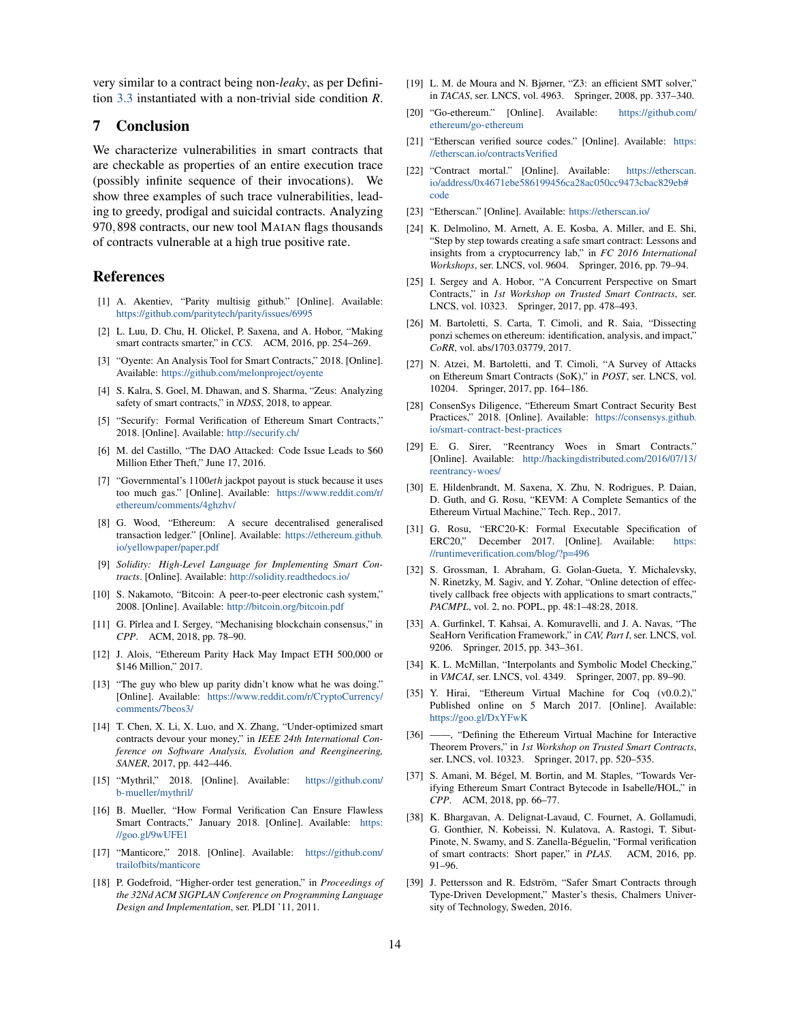very similar to a contract being non-*leaky*, as per Definition [3.3](#page-5-1) instantiated with a non-trivial side condition *R*.

# 7 Conclusion

We characterize vulnerabilities in smart contracts that are checkable as properties of an entire execution trace (possibly infinite sequence of their invocations). We show three examples of such trace vulnerabilities, leading to greedy, prodigal and suicidal contracts. Analyzing 970,898 contracts, our new tool MAIAN flags thousands of contracts vulnerable at a high true positive rate.

#### References

- <span id="page-13-0"></span>[1] A. Akentiev, "Parity multisig github." [Online]. Available: <https://github.com/paritytech/parity/issues/6995>
- <span id="page-13-1"></span>[2] L. Luu, D. Chu, H. Olickel, P. Saxena, and A. Hobor, "Making smart contracts smarter," in *CCS*. ACM, 2016, pp. 254–269.
- <span id="page-13-5"></span>[3] "Oyente: An Analysis Tool for Smart Contracts," 2018. [Online]. Available: <https://github.com/melonproject/oyente>
- <span id="page-13-29"></span>[4] S. Kalra, S. Goel, M. Dhawan, and S. Sharma, "Zeus: Analyzing safety of smart contracts," in *NDSS*, 2018, to appear.
- <span id="page-13-2"></span>[5] "Securify: Formal Verification of Ethereum Smart Contracts," 2018. [Online]. Available: <http://securify.ch/>
- <span id="page-13-3"></span>[6] M. del Castillo, "The DAO Attacked: Code Issue Leads to \$60 Million Ether Theft," June 17, 2016.
- <span id="page-13-4"></span>[7] "Governmental's 1100*eth* jackpot payout is stuck because it uses too much gas." [Online]. Available: [https://www.reddit.com/r/](https://www.reddit.com/r/ethereum/comments/4ghzhv/) [ethereum/comments/4ghzhv/](https://www.reddit.com/r/ethereum/comments/4ghzhv/)
- <span id="page-13-6"></span>[8] G. Wood, "Ethereum: A secure decentralised generalised transaction ledger." [Online]. Available: [https://ethereum.github.](https://ethereum.github.io/yellowpaper/paper.pdf) [io/yellowpaper/paper.pdf](https://ethereum.github.io/yellowpaper/paper.pdf)
- <span id="page-13-7"></span>[9] *Solidity: High-Level Language for Implementing Smart Contracts*. [Online]. Available: <http://solidity.readthedocs.io/>
- <span id="page-13-8"></span>[10] S. Nakamoto, "Bitcoin: A peer-to-peer electronic cash system," 2008. [Online]. Available: <http://bitcoin.org/bitcoin.pdf>
- <span id="page-13-9"></span>[11] G. Pîrlea and I. Sergey, "Mechanising blockchain consensus," in *CPP*. ACM, 2018, pp. 78–90.
- <span id="page-13-10"></span>[12] J. Alois, "Ethereum Parity Hack May Impact ETH 500,000 or \$146 Million," 2017.
- <span id="page-13-11"></span>[13] "The guy who blew up parity didn't know what he was doing." [Online]. Available: [https://www.reddit.com/r/CryptoCurrency/](https://www.reddit.com/r/CryptoCurrency/comments/7beos3/) [comments/7beos3/](https://www.reddit.com/r/CryptoCurrency/comments/7beos3/)
- <span id="page-13-12"></span>[14] T. Chen, X. Li, X. Luo, and X. Zhang, "Under-optimized smart contracts devour your money," in *IEEE 24th International Conference on Software Analysis, Evolution and Reengineering, SANER*, 2017, pp. 442–446.
- <span id="page-13-24"></span>[15] "Mythril," 2018. [Online]. Available: [https://github.com/](https://github.com/b-mueller/mythril/) [b-mueller/mythril/](https://github.com/b-mueller/mythril/)
- <span id="page-13-25"></span>[16] B. Mueller, "How Formal Verification Can Ensure Flawless Smart Contracts," January 2018. [Online]. Available: [https:](https://goo.gl/9wUFE1) [//goo.gl/9wUFE1](https://goo.gl/9wUFE1)
- <span id="page-13-13"></span>[17] "Manticore," 2018. [Online]. Available: [https://github.com/](https://github.com/trailofbits/manticore) [trailofbits/manticore](https://github.com/trailofbits/manticore)
- <span id="page-13-14"></span>[18] P. Godefroid, "Higher-order test generation," in *Proceedings of the 32Nd ACM SIGPLAN Conference on Programming Language Design and Implementation*, ser. PLDI '11, 2011.
- <span id="page-13-15"></span>[19] L. M. de Moura and N. Bjørner, "Z3: an efficient SMT solver," in *TACAS*, ser. LNCS, vol. 4963. Springer, 2008, pp. 337–340.
- <span id="page-13-16"></span>[20] "Go-ethereum." [Online]. Available: [https://github.com/](https://github.com/ethereum/go-ethereum) [ethereum/go-ethereum](https://github.com/ethereum/go-ethereum)
- <span id="page-13-17"></span>[21] "Etherscan verified source codes." [Online]. Available: [https:](https://etherscan.io/contractsVerified) [//etherscan.io/contractsVerified](https://etherscan.io/contractsVerified)
- <span id="page-13-18"></span>[22] "Contract mortal." [Online]. Available: [https://etherscan.](https://etherscan.io/address/0x4671ebe586199456ca28ac050cc9473cbac829eb#code) [io/address/0x4671ebe586199456ca28ac050cc9473cbac829eb#](https://etherscan.io/address/0x4671ebe586199456ca28ac050cc9473cbac829eb#code) [code](https://etherscan.io/address/0x4671ebe586199456ca28ac050cc9473cbac829eb#code)
- <span id="page-13-21"></span>[23] "Etherscan." [Online]. Available: <https://etherscan.io/>
- <span id="page-13-19"></span>[24] K. Delmolino, M. Arnett, A. E. Kosba, A. Miller, and E. Shi, "Step by step towards creating a safe smart contract: Lessons and insights from a cryptocurrency lab," in *FC 2016 International Workshops*, ser. LNCS, vol. 9604. Springer, 2016, pp. 79–94.
- <span id="page-13-20"></span>[25] I. Sergey and A. Hobor, "A Concurrent Perspective on Smart Contracts," in *1st Workshop on Trusted Smart Contracts*, ser. LNCS, vol. 10323. Springer, 2017, pp. 478–493.
- <span id="page-13-22"></span>[26] M. Bartoletti, S. Carta, T. Cimoli, and R. Saia, "Dissecting ponzi schemes on ethereum: identification, analysis, and impact," *CoRR*, vol. abs/1703.03779, 2017.
- <span id="page-13-37"></span>[27] N. Atzei, M. Bartoletti, and T. Cimoli, "A Survey of Attacks on Ethereum Smart Contracts (SoK)," in *POST*, ser. LNCS, vol. 10204. Springer, 2017, pp. 164–186.
- <span id="page-13-38"></span>[28] ConsenSys Diligence, "Ethereum Smart Contract Security Best Practices," 2018. [Online]. Available: [https://consensys.github.](https://consensys.github.io/smart-contract-best-practices) [io/smart-contract-best-practices](https://consensys.github.io/smart-contract-best-practices)
- <span id="page-13-23"></span>[29] E. G. Sirer, "Reentrancy Woes in Smart Contracts." [Online]. Available: [http://hackingdistributed.com/2016/07/13/](http://hackingdistributed.com/2016/07/13/reentrancy-woes/) [reentrancy-woes/](http://hackingdistributed.com/2016/07/13/reentrancy-woes/)
- <span id="page-13-26"></span>[30] E. Hildenbrandt, M. Saxena, X. Zhu, N. Rodrigues, P. Daian, D. Guth, and G. Rosu, "KEVM: A Complete Semantics of the Ethereum Virtual Machine," Tech. Rep., 2017.
- <span id="page-13-27"></span>[31] G. Rosu, "ERC20-K: Formal Executable Specification of ERC20," December 2017. [Online]. Available: [https:](https://runtimeverification.com/blog/?p=496) [//runtimeverification.com/blog/?p=496](https://runtimeverification.com/blog/?p=496)
- <span id="page-13-28"></span>[32] S. Grossman, I. Abraham, G. Golan-Gueta, Y. Michalevsky, N. Rinetzky, M. Sagiv, and Y. Zohar, "Online detection of effectively callback free objects with applications to smart contracts," *PACMPL*, vol. 2, no. POPL, pp. 48:1-48:28, 2018.
- <span id="page-13-30"></span>[33] A. Gurfinkel, T. Kahsai, A. Komuravelli, and J. A. Navas, "The SeaHorn Verification Framework," in *CAV, Part I*, ser. LNCS, vol. 9206. Springer, 2015, pp. 343–361.
- <span id="page-13-31"></span>[34] K. L. McMillan, "Interpolants and Symbolic Model Checking," in *VMCAI*, ser. LNCS, vol. 4349. Springer, 2007, pp. 89–90.
- <span id="page-13-32"></span>[35] Y. Hirai, "Ethereum Virtual Machine for Coq (v0.0.2)," Published online on 5 March 2017. [Online]. Available: <https://goo.gl/DxYFwK>
- <span id="page-13-33"></span>[36] ——, "Defining the Ethereum Virtual Machine for Interactive Theorem Provers," in *1st Workshop on Trusted Smart Contracts*, ser. LNCS, vol. 10323. Springer, 2017, pp. 520–535.
- <span id="page-13-34"></span>[37] S. Amani, M. Bégel, M. Bortin, and M. Staples, "Towards Verifying Ethereum Smart Contract Bytecode in Isabelle/HOL," in *CPP*. ACM, 2018, pp. 66–77.
- <span id="page-13-35"></span>[38] K. Bhargavan, A. Delignat-Lavaud, C. Fournet, A. Gollamudi, G. Gonthier, N. Kobeissi, N. Kulatova, A. Rastogi, T. Sibut-Pinote, N. Swamy, and S. Zanella-Beguelin, "Formal verification ´ of smart contracts: Short paper," in *PLAS*. ACM, 2016, pp. 91–96.
- <span id="page-13-36"></span>[39] J. Pettersson and R. Edström, "Safer Smart Contracts through Type-Driven Development," Master's thesis, Chalmers University of Technology, Sweden, 2016.